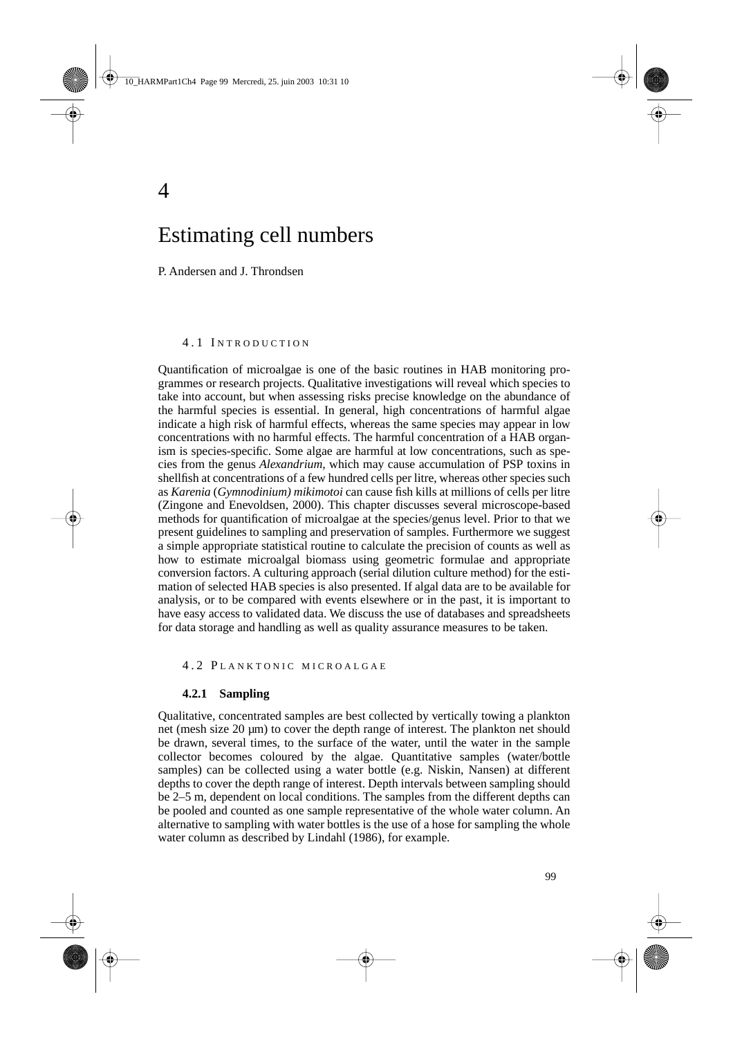# Estimating cell numbers

P. Andersen and J. Throndsen

4

## 4.1 INTRODUCTION

Quantification of microalgae is one of the basic routines in HAB monitoring programmes or research projects. Qualitative investigations will reveal which species to take into account, but when assessing risks precise knowledge on the abundance of the harmful species is essential. In general, high concentrations of harmful algae indicate a high risk of harmful effects, whereas the same species may appear in low concentrations with no harmful effects. The harmful concentration of a HAB organism is species-specific. Some algae are harmful at low concentrations, such as species from the genus *Alexandrium,* which may cause accumulation of PSP toxins in shellfish at concentrations of a few hundred cells per litre, whereas other species such as *Karenia* (*Gymnodinium) mikimotoi* can cause fish kills at millions of cells per litre (Zingone and Enevoldsen, 2000). This chapter discusses several microscope-based methods for quantification of microalgae at the species/genus level. Prior to that we present guidelines to sampling and preservation of samples. Furthermore we suggest a simple appropriate statistical routine to calculate the precision of counts as well as how to estimate microalgal biomass using geometric formulae and appropriate conversion factors. A culturing approach (serial dilution culture method) for the estimation of selected HAB species is also presented. If algal data are to be available for analysis, or to be compared with events elsewhere or in the past, it is important to have easy access to validated data. We discuss the use of databases and spreadsheets for data storage and handling as well as quality assurance measures to be taken.

#### 4.2 PLANKTONIC MICROALGAE

#### **4.2.1 Sampling**

Qualitative, concentrated samples are best collected by vertically towing a plankton net (mesh size  $20 \mu m$ ) to cover the depth range of interest. The plankton net should be drawn, several times, to the surface of the water, until the water in the sample collector becomes coloured by the algae. Quantitative samples (water/bottle samples) can be collected using a water bottle (e.g. Niskin, Nansen) at different depths to cover the depth range of interest. Depth intervals between sampling should be 2–5 m, dependent on local conditions. The samples from the different depths can be pooled and counted as one sample representative of the whole water column. An alternative to sampling with water bottles is the use of a hose for sampling the whole water column as described by Lindahl (1986), for example.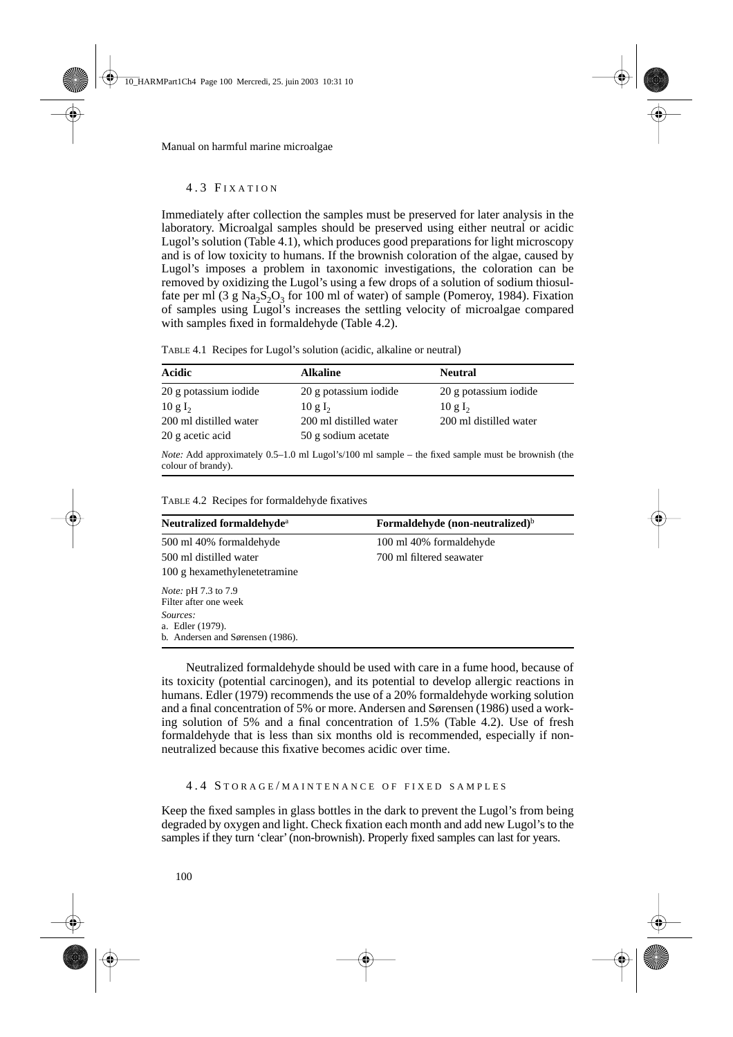## 4.3 F IXATION

Immediately after collection the samples must be preserved for later analysis in the laboratory. Microalgal samples should be preserved using either neutral or acidic Lugol's solution (Table 4.1), which produces good preparations for light microscopy and is of low toxicity to humans. If the brownish coloration of the algae, caused by Lugol's imposes a problem in taxonomic investigations, the coloration can be removed by oxidizing the Lugol's using a few drops of a solution of sodium thiosulfate per ml (3 g Na<sub>2</sub>S<sub>2</sub>O<sub>3</sub> for 100 ml of water) of sample (Pomeroy, 1984). Fixation of samples using Lugol's increases the settling velocity of microalgae compared with samples fixed in formaldehyde (Table 4.2).

| Acidic                 | <b>Alkaline</b>        | <b>Neutral</b>                                                                                           |
|------------------------|------------------------|----------------------------------------------------------------------------------------------------------|
| 20 g potassium iodide  | 20 g potassium iodide  | 20 g potassium iodide                                                                                    |
| $10 \text{ g L}$       | $10 \text{ g L}$       | $10 \text{ g L}$                                                                                         |
| 200 ml distilled water | 200 ml distilled water | 200 ml distilled water                                                                                   |
| 20 g acetic acid       | 50 g sodium acetate    |                                                                                                          |
|                        |                        | <i>Note:</i> Add approximately 0.5–1.0 ml Lugol's/100 ml sample – the fixed sample must be brownish (the |

TABLE 4.1 Recipes for Lugol's solution (acidic, alkaline or neutral)

| TABLE 4.2 Recipes for formaldehyde fixatives |  |  |  |  |
|----------------------------------------------|--|--|--|--|
|----------------------------------------------|--|--|--|--|

colour of brandy).

| Neutralized formaldehyde <sup>a</sup>                            | Formaldehyde (non-neutralized) $\mathfrak{b}$ |
|------------------------------------------------------------------|-----------------------------------------------|
| 500 ml 40% formaldehyde                                          | 100 ml 40% formaldehyde                       |
| 500 ml distilled water                                           | 700 ml filtered seawater                      |
| 100 g hexamethylenetetramine                                     |                                               |
| <i>Note:</i> pH 7.3 to 7.9<br>Filter after one week              |                                               |
| Sources:<br>a. Edler (1979).<br>b. Andersen and Sørensen (1986). |                                               |

Neutralized formaldehyde should be used with care in a fume hood, because of its toxicity (potential carcinogen), and its potential to develop allergic reactions in humans. Edler (1979) recommends the use of a 20% formaldehyde working solution and a final concentration of 5% or more. Andersen and Sørensen (1986) used a working solution of 5% and a final concentration of 1.5% (Table 4.2). Use of fresh formaldehyde that is less than six months old is recommended, especially if nonneutralized because this fixative becomes acidic over time.

## 4.4 STORAGE/MAINTENANCE OF FIXED SAMPLES

Keep the fixed samples in glass bottles in the dark to prevent the Lugol's from being degraded by oxygen and light. Check fixation each month and add new Lugol's to the samples if they turn 'clear' (non-brownish). Properly fixed samples can last for years.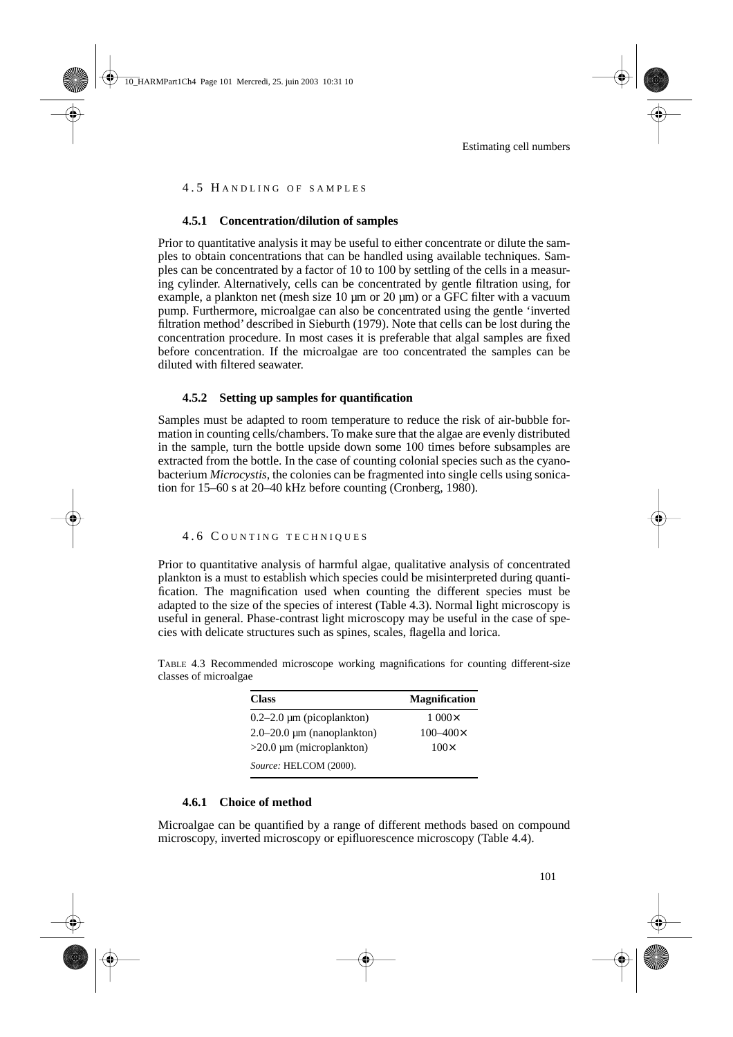## 4.5 HANDLING OF SAMPLES

## **4.5.1 Concentration/dilution of samples**

Prior to quantitative analysis it may be useful to either concentrate or dilute the samples to obtain concentrations that can be handled using available techniques. Samples can be concentrated by a factor of 10 to 100 by settling of the cells in a measuring cylinder. Alternatively, cells can be concentrated by gentle filtration using, for example, a plankton net (mesh size  $10 \mu m$  or  $20 \mu m$ ) or a GFC filter with a vacuum pump. Furthermore, microalgae can also be concentrated using the gentle 'inverted filtration method' described in Sieburth (1979). Note that cells can be lost during the concentration procedure. In most cases it is preferable that algal samples are fixed before concentration. If the microalgae are too concentrated the samples can be diluted with filtered seawater.

## **4.5.2 Setting up samples for quantification**

Samples must be adapted to room temperature to reduce the risk of air-bubble formation in counting cells/chambers. To make sure that the algae are evenly distributed in the sample, turn the bottle upside down some 100 times before subsamples are extracted from the bottle. In the case of counting colonial species such as the cyanobacterium *Microcystis*, the colonies can be fragmented into single cells using sonication for 15–60 s at 20–40 kHz before counting (Cronberg, 1980).

## 4.6 C OUNTING TECHNIQUES

Prior to quantitative analysis of harmful algae, qualitative analysis of concentrated plankton is a must to establish which species could be misinterpreted during quantification. The magnification used when counting the different species must be adapted to the size of the species of interest (Table 4.3). Normal light microscopy is useful in general. Phase-contrast light microscopy may be useful in the case of species with delicate structures such as spines, scales, flagella and lorica.

TABLE 4.3 Recommended microscope working magnifications for counting different-size classes of microalgae

| <b>Class</b>                      | <b>Magnification</b> |
|-----------------------------------|----------------------|
| $0.2-2.0 \mu m$ (picoplankton)    | $1.000\times$        |
| $2.0 - 20.0 \mu m$ (nanoplankton) | $100 - 400 \times$   |
| $>20.0 \mu m$ (microplankton)     | $100\times$          |
| Source: HELCOM (2000).            |                      |

## **4.6.1 Choice of method**

Microalgae can be quantified by a range of different methods based on compound microscopy, inverted microscopy or epifluorescence microscopy (Table 4.4).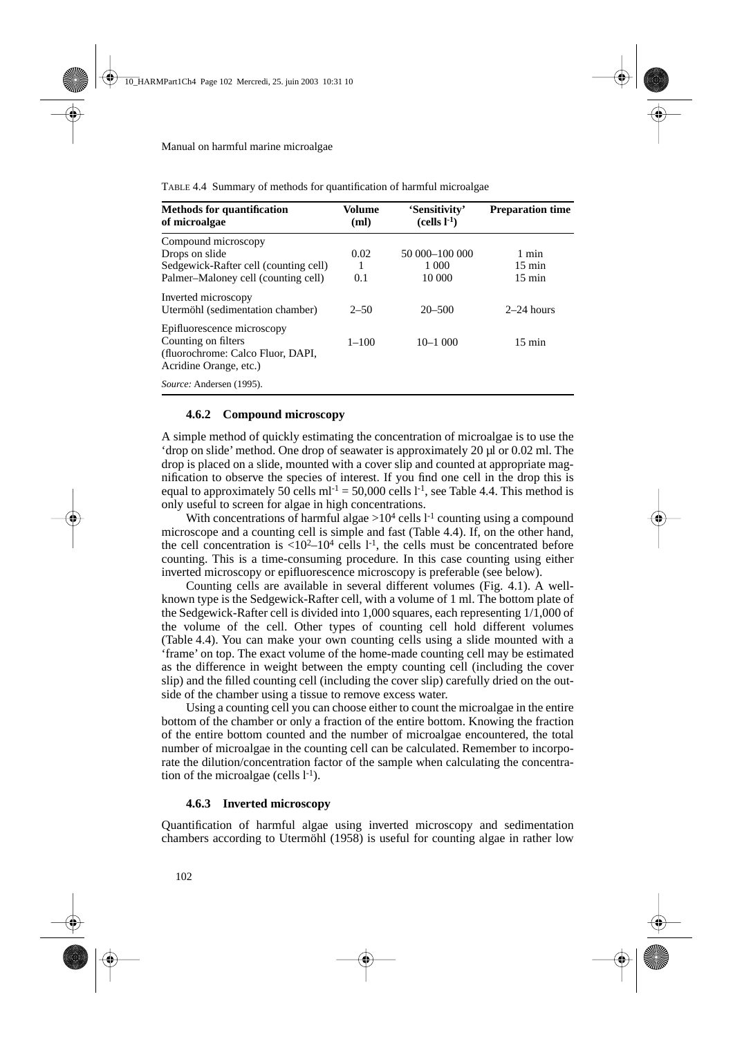| <b>Methods for quantification</b><br>of microalgae                                                               | Volume<br>(ml) | 'Sensitivity'<br>$(cells l-1)$ | <b>Preparation time</b> |
|------------------------------------------------------------------------------------------------------------------|----------------|--------------------------------|-------------------------|
| Compound microscopy                                                                                              |                |                                |                         |
| Drops on slide                                                                                                   | 0.02           | 50 000-100 000                 | 1 min                   |
| Sedgewick-Rafter cell (counting cell)                                                                            | 1              | 1 000                          | $15 \text{ min}$        |
| Palmer-Maloney cell (counting cell)                                                                              | 0.1            | 10 000                         | $15 \text{ min}$        |
| Inverted microscopy<br>Utermöhl (sedimentation chamber)                                                          | $2 - 50$       | $20 - 500$                     | $2-24$ hours            |
| Epifluorescence microscopy<br>Counting on filters<br>(fluorochrome: Calco Fluor, DAPI,<br>Acridine Orange, etc.) | $1 - 100$      | $10 - 1000$                    | $15 \text{ min}$        |
| <i>Source:</i> Andersen (1995).                                                                                  |                |                                |                         |

TABLE 4.4 Summary of methods for quantification of harmful microalgae

#### **4.6.2 Compound microscopy**

A simple method of quickly estimating the concentration of microalgae is to use the 'drop on slide' method. One drop of seawater is approximately 20 µl or 0.02 ml. The drop is placed on a slide, mounted with a cover slip and counted at appropriate magnification to observe the species of interest. If you find one cell in the drop this is equal to approximately 50 cells  $ml^{-1} = 50,000$  cells  $l^{-1}$ , see Table 4.4. This method is only useful to screen for algae in high concentrations.

With concentrations of harmful algae  $>10^4$  cells  $l<sup>-1</sup>$  counting using a compound microscope and a counting cell is simple and fast (Table 4.4). If, on the other hand, the cell concentration is  $\langle 10^2 - 10^4 \text{ cells } l^{-1} \rangle$ , the cells must be concentrated before counting. This is a time-consuming procedure. In this case counting using either inverted microscopy or epifluorescence microscopy is preferable (see below).

Counting cells are available in several different volumes (Fig. 4.1). A wellknown type is the Sedgewick-Rafter cell, with a volume of 1 ml. The bottom plate of the Sedgewick-Rafter cell is divided into 1,000 squares, each representing 1/1,000 of the volume of the cell. Other types of counting cell hold different volumes (Table 4.4). You can make your own counting cells using a slide mounted with a 'frame' on top. The exact volume of the home-made counting cell may be estimated as the difference in weight between the empty counting cell (including the cover slip) and the filled counting cell (including the cover slip) carefully dried on the outside of the chamber using a tissue to remove excess water.

Using a counting cell you can choose either to count the microalgae in the entire bottom of the chamber or only a fraction of the entire bottom. Knowing the fraction of the entire bottom counted and the number of microalgae encountered, the total number of microalgae in the counting cell can be calculated. Remember to incorporate the dilution/concentration factor of the sample when calculating the concentration of the microalgae (cells  $l^{-1}$ ).

## **4.6.3 Inverted microscopy**

Quantification of harmful algae using inverted microscopy and sedimentation chambers according to Utermöhl (1958) is useful for counting algae in rather low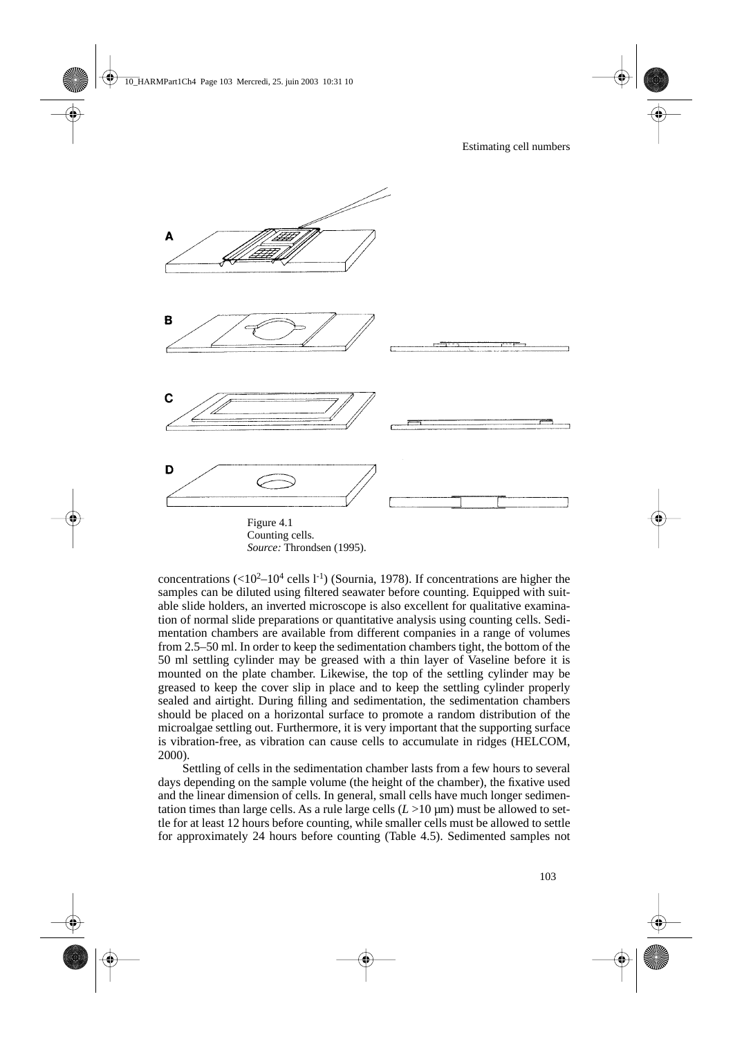

*Source:* Throndsen (1995).

concentrations  $(<10^2-10^4 \text{ cells } 1^{-1})$  (Sournia, 1978). If concentrations are higher the samples can be diluted using filtered seawater before counting. Equipped with suitable slide holders, an inverted microscope is also excellent for qualitative examination of normal slide preparations or quantitative analysis using counting cells. Sedimentation chambers are available from different companies in a range of volumes from 2.5–50 ml. In order to keep the sedimentation chambers tight, the bottom of the 50 ml settling cylinder may be greased with a thin layer of Vaseline before it is mounted on the plate chamber. Likewise, the top of the settling cylinder may be greased to keep the cover slip in place and to keep the settling cylinder properly sealed and airtight. During filling and sedimentation, the sedimentation chambers should be placed on a horizontal surface to promote a random distribution of the microalgae settling out. Furthermore, it is very important that the supporting surface is vibration-free, as vibration can cause cells to accumulate in ridges (HELCOM, 2000).

Settling of cells in the sedimentation chamber lasts from a few hours to several days depending on the sample volume (the height of the chamber), the fixative used and the linear dimension of cells. In general, small cells have much longer sedimentation times than large cells. As a rule large cells  $(L > 10 \,\mu m)$  must be allowed to settle for at least 12 hours before counting, while smaller cells must be allowed to settle for approximately 24 hours before counting (Table 4.5). Sedimented samples not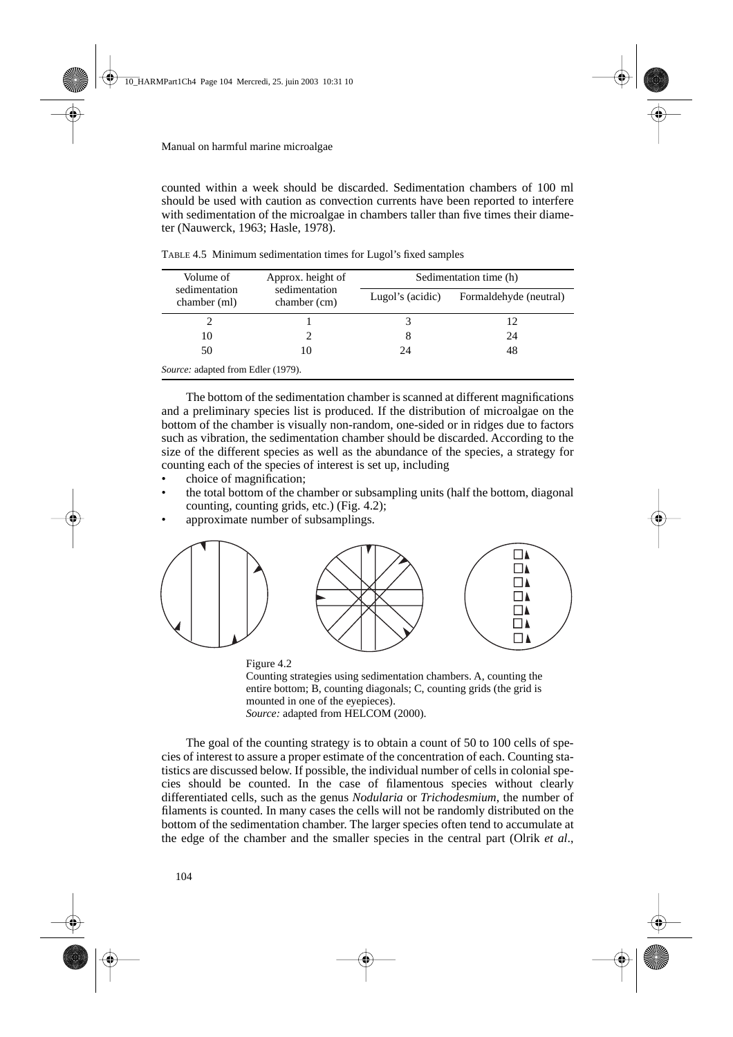counted within a week should be discarded. Sedimentation chambers of 100 ml should be used with caution as convection currents have been reported to interfere with sedimentation of the microalgae in chambers taller than five times their diameter (Nauwerck, 1963; Hasle, 1978).

| Volume of                                 | Approx. height of             | Sedimentation time (h) |                        |  |  |
|-------------------------------------------|-------------------------------|------------------------|------------------------|--|--|
| sedimentation<br>chamber (ml)             | sedimentation<br>chamber (cm) | Lugol's (acidic)       | Formaldehyde (neutral) |  |  |
|                                           |                               |                        | 12                     |  |  |
| 10                                        |                               |                        | 24                     |  |  |
| 50                                        | 10                            | 24                     | 48                     |  |  |
| <i>Source:</i> adapted from Edler (1979). |                               |                        |                        |  |  |

TABLE 4.5 Minimum sedimentation times for Lugol's fixed samples

The bottom of the sedimentation chamber is scanned at different magnifications and a preliminary species list is produced. If the distribution of microalgae on the bottom of the chamber is visually non-random, one-sided or in ridges due to factors such as vibration, the sedimentation chamber should be discarded. According to the size of the different species as well as the abundance of the species, a strategy for counting each of the species of interest is set up, including

- choice of magnification;
- the total bottom of the chamber or subsampling units (half the bottom, diagonal counting, counting grids, etc.) (Fig. 4.2);
- approximate number of subsamplings.



Figure 4.2 Counting strategies using sedimentation chambers. A, counting the entire bottom; B, counting diagonals; C, counting grids (the grid is mounted in one of the eyepieces). *Source:* adapted from HELCOM (2000).

The goal of the counting strategy is to obtain a count of 50 to 100 cells of species of interest to assure a proper estimate of the concentration of each. Counting statistics are discussed below. If possible, the individual number of cells in colonial species should be counted. In the case of filamentous species without clearly differentiated cells, such as the genus *Nodularia* or *Trichodesmium*, the number of filaments is counted. In many cases the cells will not be randomly distributed on the bottom of the sedimentation chamber. The larger species often tend to accumulate at the edge of the chamber and the smaller species in the central part (Olrik *et al*.,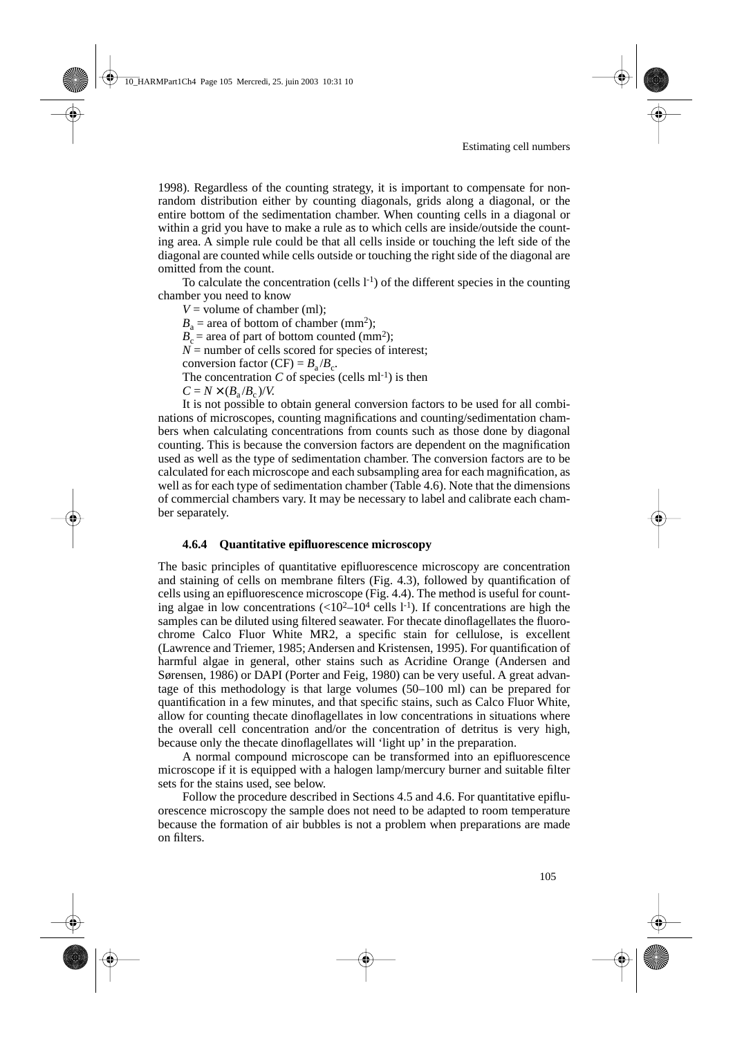1998). Regardless of the counting strategy, it is important to compensate for nonrandom distribution either by counting diagonals, grids along a diagonal, or the entire bottom of the sedimentation chamber. When counting cells in a diagonal or within a grid you have to make a rule as to which cells are inside/outside the counting area. A simple rule could be that all cells inside or touching the left side of the diagonal are counted while cells outside or touching the right side of the diagonal are omitted from the count.

To calculate the concentration (cells  $l^{-1}$ ) of the different species in the counting chamber you need to know

 $V =$  volume of chamber (ml);  $B<sub>a</sub>$  = area of bottom of chamber (mm<sup>2</sup>);  $B<sub>c</sub>$  = area of part of bottom counted (mm<sup>2</sup>);  $N =$  number of cells scored for species of interest; conversion factor  $(CF) = B_a/B_c$ . The concentration  $C$  of species (cells ml<sup>-1</sup>) is then  $C = N \times (B_a/B_c)/V$ .

It is not possible to obtain general conversion factors to be used for all combinations of microscopes, counting magnifications and counting/sedimentation chambers when calculating concentrations from counts such as those done by diagonal counting. This is because the conversion factors are dependent on the magnification used as well as the type of sedimentation chamber. The conversion factors are to be calculated for each microscope and each subsampling area for each magnification, as well as for each type of sedimentation chamber (Table 4.6). Note that the dimensions of commercial chambers vary. It may be necessary to label and calibrate each chamber separately.

## **4.6.4 Quantitative epifluorescence microscopy**

The basic principles of quantitative epifluorescence microscopy are concentration and staining of cells on membrane filters (Fig. 4.3), followed by quantification of cells using an epifluorescence microscope (Fig. 4.4). The method is useful for counting algae in low concentrations  $(<10^2-10^4$  cells l<sup>-1</sup>). If concentrations are high the samples can be diluted using filtered seawater. For thecate dinoflagellates the fluorochrome Calco Fluor White MR2, a specific stain for cellulose, is excellent (Lawrence and Triemer, 1985; Andersen and Kristensen, 1995). For quantification of harmful algae in general, other stains such as Acridine Orange (Andersen and Sørensen, 1986) or DAPI (Porter and Feig, 1980) can be very useful. A great advantage of this methodology is that large volumes (50–100 ml) can be prepared for quantification in a few minutes, and that specific stains, such as Calco Fluor White, allow for counting thecate dinoflagellates in low concentrations in situations where the overall cell concentration and/or the concentration of detritus is very high, because only the thecate dinoflagellates will 'light up' in the preparation.

A normal compound microscope can be transformed into an epifluorescence microscope if it is equipped with a halogen lamp/mercury burner and suitable filter sets for the stains used, see below.

Follow the procedure described in Sections 4.5 and 4.6. For quantitative epifluorescence microscopy the sample does not need to be adapted to room temperature because the formation of air bubbles is not a problem when preparations are made on filters.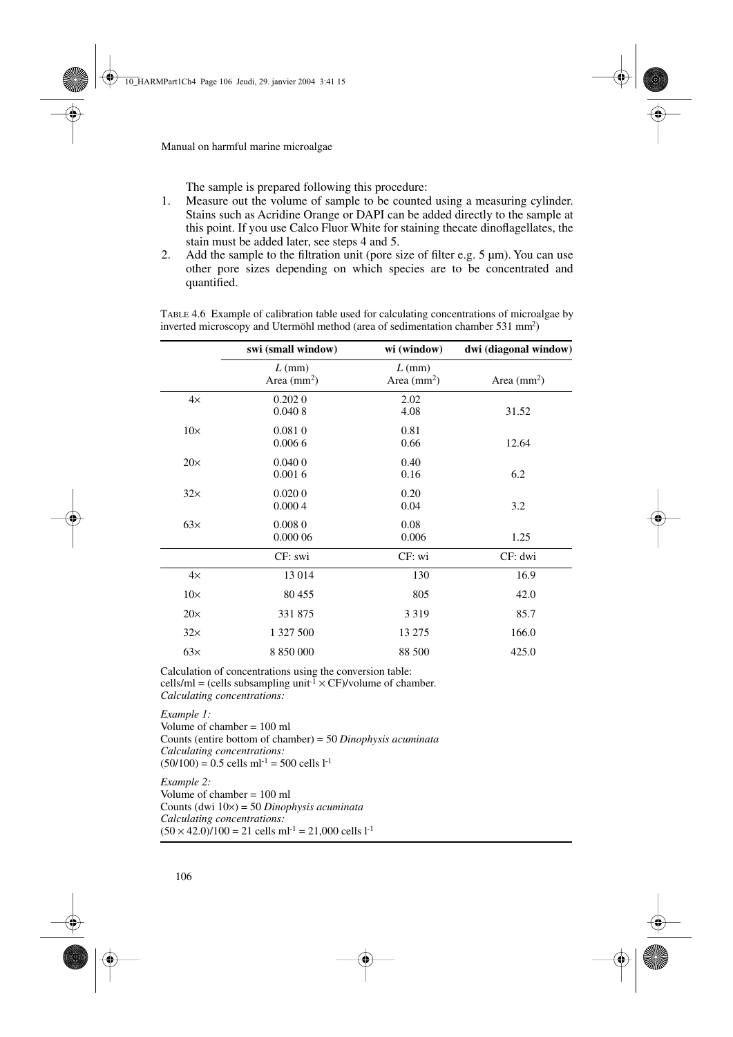The sample is prepared following this procedure:

- 1. Measure out the volume of sample to be counted using a measuring cylinder. Stains such as Acridine Orange or DAPI can be added directly to the sample at this point. If you use Calco Fluor White for staining thecate dinoflagellates, the stain must be added later, see steps 4 and 5.
- 2. Add the sample to the filtration unit (pore size of filter e.g. 5 µm). You can use other pore sizes depending on which species are to be concentrated and quantified.

|            | swi (small window)       | wi (window)              | dwi (diagonal window) |
|------------|--------------------------|--------------------------|-----------------------|
|            | $L$ (mm)<br>Area $(mm2)$ | $L$ (mm)<br>Area $(mm2)$ | Area $(mm2)$          |
| $4\times$  | 0.2020<br>0.0408         | 2.02<br>4.08             | 31.52                 |
| $10\times$ | 0.0810<br>0.0066         | 0.81<br>0.66             | 12.64                 |
| $20\times$ | 0.0400<br>0.0016         | 0.40<br>0.16             | 6.2                   |
| $32\times$ | 0.0200<br>0.0004         | 0.20<br>0.04             | 3.2                   |
| $63\times$ | 0.0080<br>0.000 06       | 0.08<br>0.006            | 1.25                  |
|            | CF: swi                  | CF: wi                   | CF: dwi               |
| $4\times$  | 13 014                   | 130                      | 16.9                  |
| $10\times$ | 80 455                   | 805                      | 42.0                  |
| $20\times$ | 331 875                  | 3 3 1 9                  | 85.7                  |
| $32\times$ | 1 327 500                | 13 275                   | 166.0                 |
| 63x        | 8 850 000                | 88 500                   | 425.0                 |

TABLE 4.6 Example of calibration table used for calculating concentrations of microalgae by inverted microscopy and Utermöhl method (area of sedimentation chamber 531 mm2)

Calculation of concentrations using the conversion table: cells/ml = (cells subsampling unit<sup>-1</sup>  $\times$  CF)/volume of chamber. *Calculating concentrations:*

*Example 1:*  Volume of chamber  $= 100$  ml Counts (entire bottom of chamber) = 50 *Dinophysis acuminata Calculating concentrations:*  $(50/100) = 0.5$  cells ml<sup>-1</sup> = 500 cells l<sup>-1</sup>

*Example 2:*  Volume of chamber  $= 100$  ml Counts (dwi 10×) = 50 *Dinophysis acuminata Calculating concentrations:*  $(50 \times 42.0)/100 = 21$  cells ml<sup>-1</sup> = 21,000 cells l<sup>-1</sup>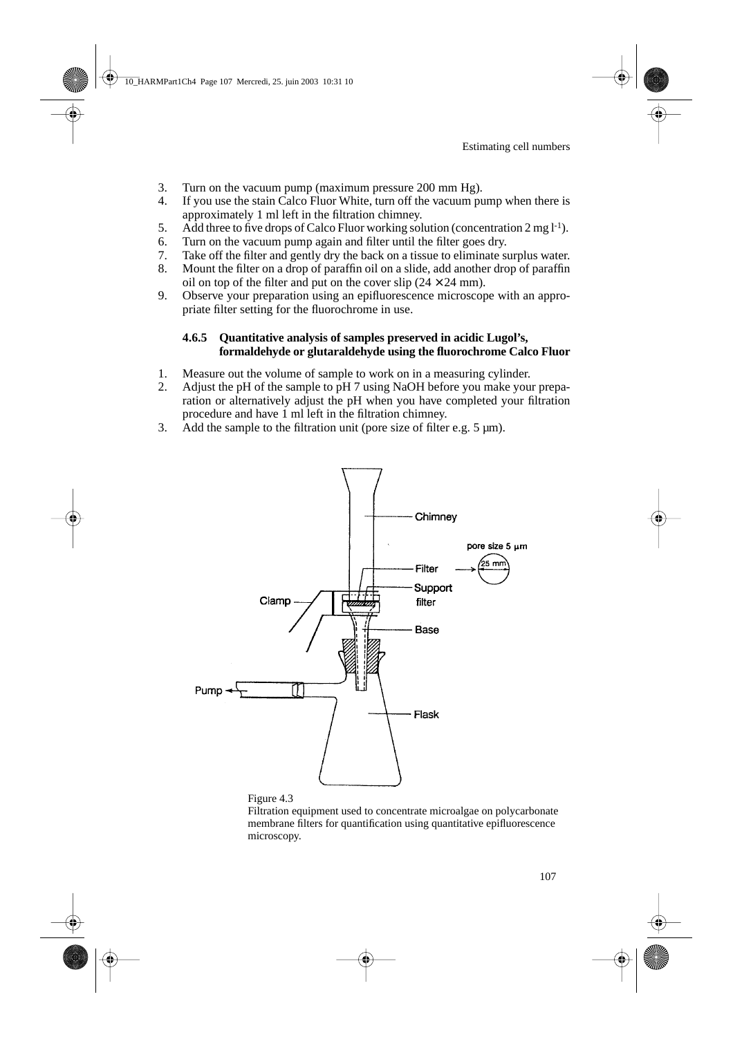- 3. Turn on the vacuum pump (maximum pressure 200 mm Hg).
- 4. If you use the stain Calco Fluor White, turn off the vacuum pump when there is approximately 1 ml left in the filtration chimney.
- 5. Add three to five drops of Calco Fluor working solution (concentration  $2 \text{ mg } l^{-1}$ ).
- 6. Turn on the vacuum pump again and filter until the filter goes dry.<br>7. Take off the filter and gently dry the back on a tissue to eliminate so
- Take off the filter and gently dry the back on a tissue to eliminate surplus water.
- 8. Mount the filter on a drop of paraffin oil on a slide, add another drop of paraffin oil on top of the filter and put on the cover slip  $(24 \times 24 \text{ mm})$ .
- 9. Observe your preparation using an epifluorescence microscope with an appropriate filter setting for the fluorochrome in use.

# **4.6.5 Quantitative analysis of samples preserved in acidic Lugol's, formaldehyde or glutaraldehyde using the fluorochrome Calco Fluor**

- 1. Measure out the volume of sample to work on in a measuring cylinder.
- 2. Adjust the pH of the sample to pH 7 using NaOH before you make your preparation or alternatively adjust the pH when you have completed your filtration procedure and have 1 ml left in the filtration chimney.
- 3. Add the sample to the filtration unit (pore size of filter e.g. 5 µm).





Filtration equipment used to concentrate microalgae on polycarbonate membrane filters for quantification using quantitative epifluorescence microscopy.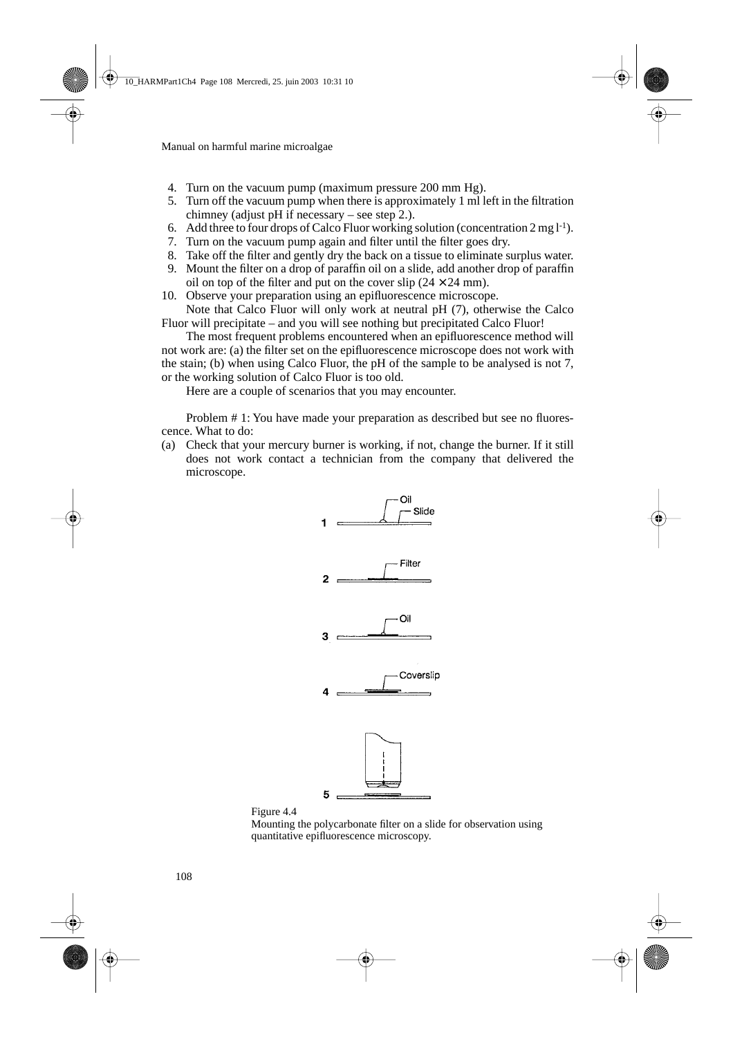- 4. Turn on the vacuum pump (maximum pressure 200 mm Hg).
- 05. Turn off the vacuum pump when there is approximately 1 ml left in the filtration chimney (adjust pH if necessary – see step 2.).
- 6. Add three to four drops of Calco Fluor working solution (concentration  $2 \text{ mg } l^{-1}$ ).
- 07. Turn on the vacuum pump again and filter until the filter goes dry.
- 08. Take off the filter and gently dry the back on a tissue to eliminate surplus water.
- 09. Mount the filter on a drop of paraffin oil on a slide, add another drop of paraffin oil on top of the filter and put on the cover slip  $(24 \times 24 \text{ mm})$ .
- 10. Observe your preparation using an epifluorescence microscope. Note that Calco Fluor will only work at neutral pH (7), otherwise the Calco

Fluor will precipitate – and you will see nothing but precipitated Calco Fluor!

The most frequent problems encountered when an epifluorescence method will not work are: (a) the filter set on the epifluorescence microscope does not work with the stain; (b) when using Calco Fluor, the pH of the sample to be analysed is not 7, or the working solution of Calco Fluor is too old.

Here are a couple of scenarios that you may encounter.

Problem # 1: You have made your preparation as described but see no fluorescence. What to do:

(a) Check that your mercury burner is working, if not, change the burner. If it still does not work contact a technician from the company that delivered the microscope.





Mounting the polycarbonate filter on a slide for observation using quantitative epifluorescence microscopy.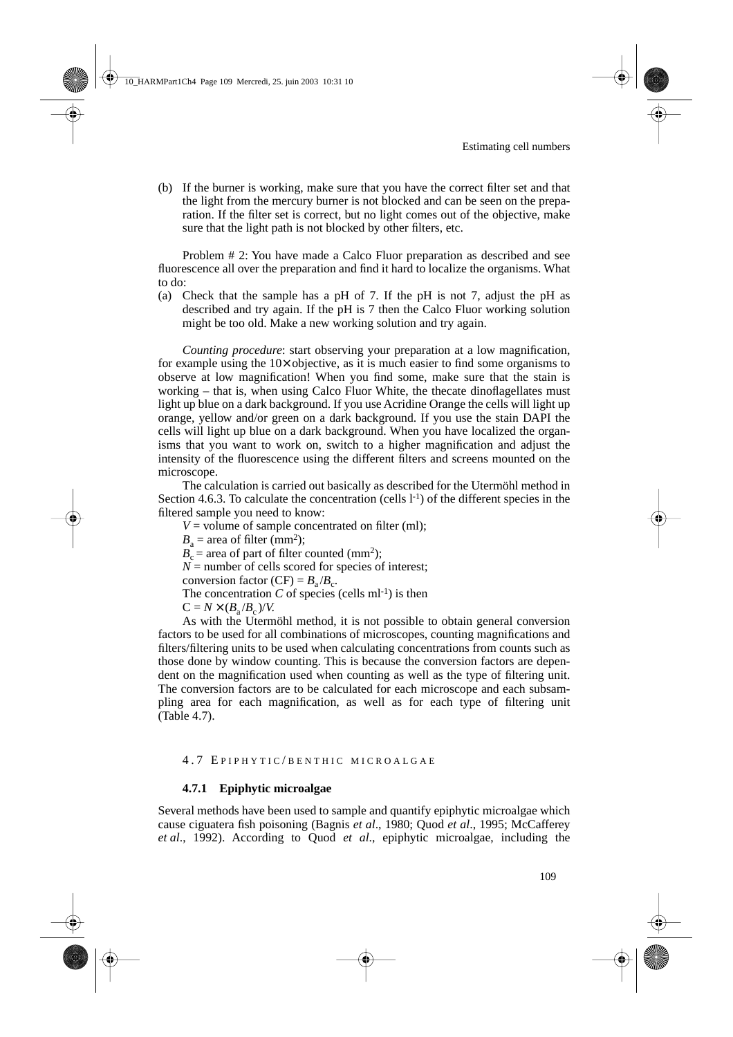(b) If the burner is working, make sure that you have the correct filter set and that the light from the mercury burner is not blocked and can be seen on the preparation. If the filter set is correct, but no light comes out of the objective, make sure that the light path is not blocked by other filters, etc.

Problem # 2: You have made a Calco Fluor preparation as described and see fluorescence all over the preparation and find it hard to localize the organisms. What to do:

(a) Check that the sample has a pH of 7. If the pH is not 7, adjust the pH as described and try again. If the pH is 7 then the Calco Fluor working solution might be too old. Make a new working solution and try again.

*Counting procedure*: start observing your preparation at a low magnification, for example using the  $10\times$  objective, as it is much easier to find some organisms to observe at low magnification! When you find some, make sure that the stain is working – that is, when using Calco Fluor White, the thecate dinoflagellates must light up blue on a dark background. If you use Acridine Orange the cells will light up orange, yellow and/or green on a dark background. If you use the stain DAPI the cells will light up blue on a dark background. When you have localized the organisms that you want to work on, switch to a higher magnification and adjust the intensity of the fluorescence using the different filters and screens mounted on the microscope.

The calculation is carried out basically as described for the Utermöhl method in Section 4.6.3. To calculate the concentration (cells  $l^{-1}$ ) of the different species in the filtered sample you need to know:

- $V =$  volume of sample concentrated on filter (ml);
- $B<sub>a</sub>$  = area of filter (mm<sup>2</sup>);

 $B_c$  = area of part of filter counted (mm<sup>2</sup>);

 $N =$  number of cells scored for species of interest;

conversion factor (CF) =  $B_a/B_c$ .

The concentration  $C$  of species (cells ml<sup>-1</sup>) is then

 $C = N \times (B_0/B_0)/V$ .

As with the Utermöhl method, it is not possible to obtain general conversion factors to be used for all combinations of microscopes, counting magnifications and filters/filtering units to be used when calculating concentrations from counts such as those done by window counting. This is because the conversion factors are dependent on the magnification used when counting as well as the type of filtering unit. The conversion factors are to be calculated for each microscope and each subsampling area for each magnification, as well as for each type of filtering unit (Table 4.7).

## 4.7 E PIPHYTIC / BENTHIC MICROALGAE

## **4.7.1 Epiphytic microalgae**

Several methods have been used to sample and quantify epiphytic microalgae which cause ciguatera fish poisoning (Bagnis *et al*., 1980; Quod *et al*., 1995; McCafferey *et al*., 1992). According to Quod *et al*., epiphytic microalgae, including the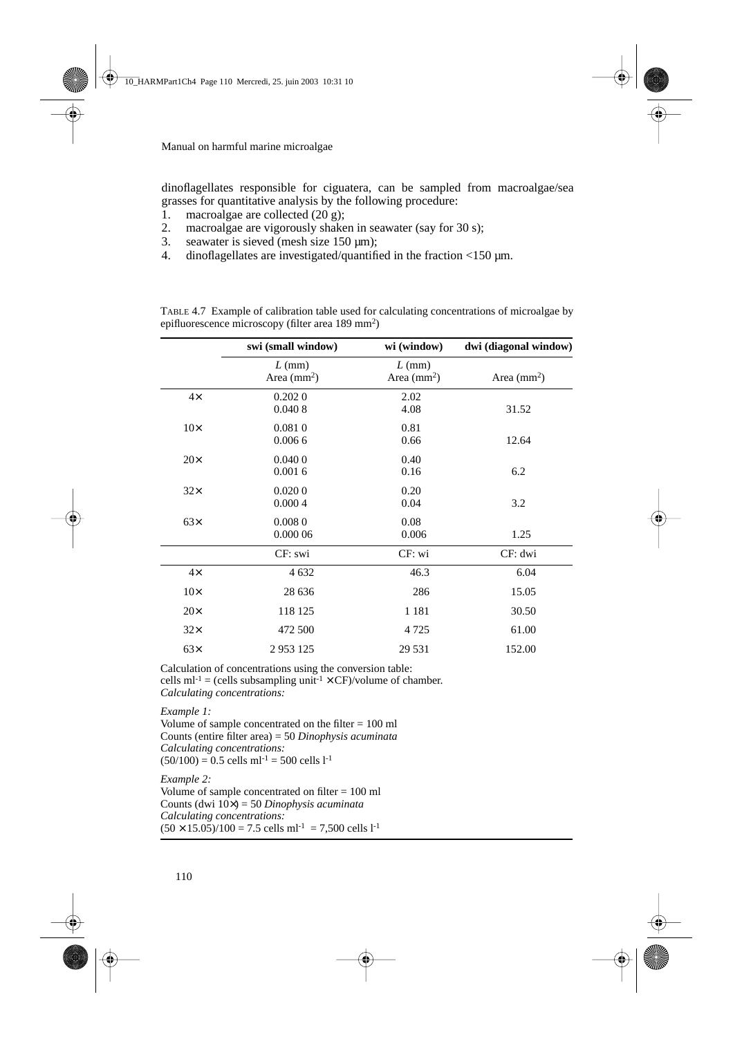dinoflagellates responsible for ciguatera, can be sampled from macroalgae/sea grasses for quantitative analysis by the following procedure:

- 1. macroalgae are collected (20 g);<br>2. macroalgae are vigorously shake
- macroalgae are vigorously shaken in seawater (say for 30 s);
- 3. seawater is sieved (mesh size  $150 \mu m$ );<br>4. dinoflagellates are investigated/quantifi-
- dinoflagellates are investigated/quantified in the fraction  $\langle 150 \text{ µm.} \rangle$

|            | swi (small window)       | wi (window)              | dwi (diagonal window) |
|------------|--------------------------|--------------------------|-----------------------|
|            | $L$ (mm)<br>Area $(mm2)$ | $L$ (mm)<br>Area $(mm2)$ | Area $(mm2)$          |
| $4\times$  | 0.2020<br>0.0408         | 2.02<br>4.08             | 31.52                 |
| $10\times$ | 0.0810<br>0.0066         | 0.81<br>0.66             | 12.64                 |
| $20\times$ | 0.0400<br>0.0016         | 0.40<br>0.16             | 6.2                   |
| $32\times$ | 0.0200<br>0.0004         | 0.20<br>0.04             | 3.2                   |
| $63\times$ | 0.0080<br>0.000 06       | 0.08<br>0.006            | 1.25                  |
|            | CF: swi                  | CF: wi                   | CF: dwi               |
| $4\times$  | 4 6 3 2                  | 46.3                     | 6.04                  |
| $10\times$ | 28 636                   | 286                      | 15.05                 |
| $20\times$ | 118 125                  | 1 1 8 1                  | 30.50                 |
| $32\times$ | 472 500                  | 4 7 2 5                  | 61.00                 |
| $63\times$ | 2953125                  | 29 5 31                  | 152.00                |

TABLE 4.7 Example of calibration table used for calculating concentrations of microalgae by epifluorescence microscopy (filter area 189 mm2)

Calculation of concentrations using the conversion table: cells  $ml^{-1} = (cells subsampling unit^{-1} \times CF)/volume$  of chamber. *Calculating concentrations:*

*Example 1:* 

Volume of sample concentrated on the filter  $= 100$  ml Counts (entire filter area) = 50 *Dinophysis acuminata Calculating concentrations:*  $(50/100) = 0.5$  cells ml<sup>-1</sup> = 500 cells l<sup>-1</sup>

*Example 2:*

Volume of sample concentrated on filter = 100 ml Counts (dwi 10×) = 50 *Dinophysis acuminata Calculating concentrations:*  $(50 \times 15.05)/100 = 7.5$  cells ml<sup>-1</sup> = 7,500 cells l<sup>-1</sup>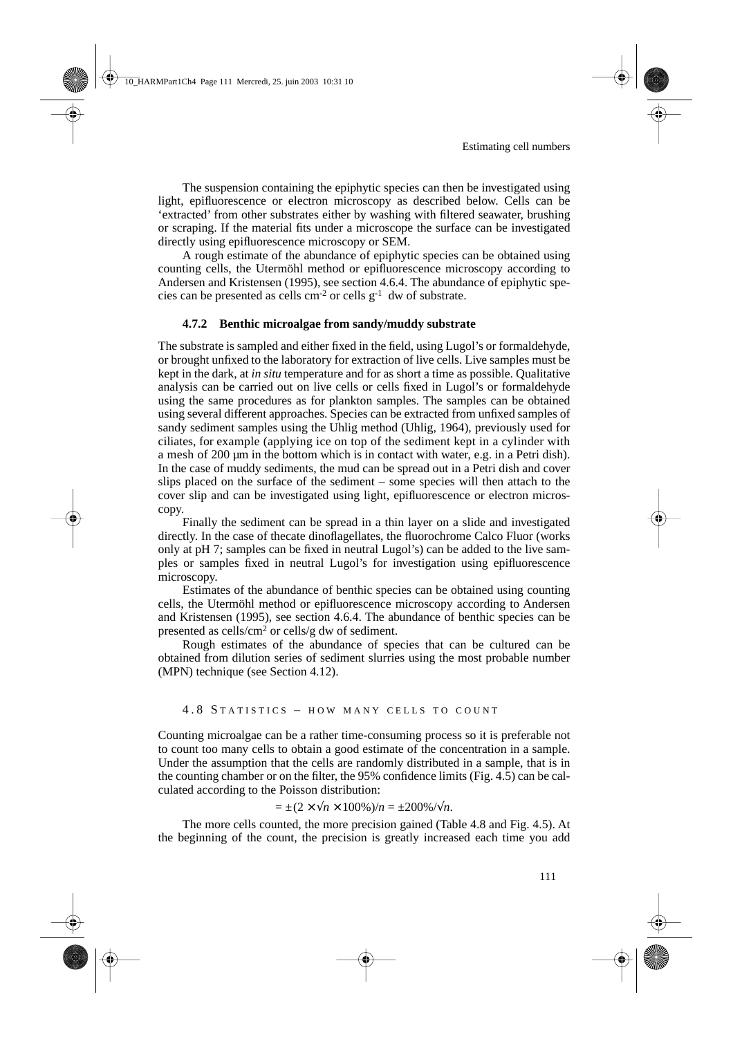The suspension containing the epiphytic species can then be investigated using light, epifluorescence or electron microscopy as described below. Cells can be 'extracted' from other substrates either by washing with filtered seawater, brushing or scraping. If the material fits under a microscope the surface can be investigated directly using epifluorescence microscopy or SEM.

A rough estimate of the abundance of epiphytic species can be obtained using counting cells, the Utermöhl method or epifluorescence microscopy according to Andersen and Kristensen (1995), see section 4.6.4. The abundance of epiphytic species can be presented as cells  $cm<sup>-2</sup>$  or cells  $g<sup>-1</sup>$  dw of substrate.

#### **4.7.2 Benthic microalgae from sandy/muddy substrate**

The substrate is sampled and either fixed in the field, using Lugol's or formaldehyde, or brought unfixed to the laboratory for extraction of live cells. Live samples must be kept in the dark, at *in situ* temperature and for as short a time as possible. Qualitative analysis can be carried out on live cells or cells fixed in Lugol's or formaldehyde using the same procedures as for plankton samples. The samples can be obtained using several different approaches. Species can be extracted from unfixed samples of sandy sediment samples using the Uhlig method (Uhlig, 1964), previously used for ciliates, for example (applying ice on top of the sediment kept in a cylinder with a mesh of 200 µm in the bottom which is in contact with water, e.g. in a Petri dish). In the case of muddy sediments, the mud can be spread out in a Petri dish and cover slips placed on the surface of the sediment – some species will then attach to the cover slip and can be investigated using light, epifluorescence or electron microscopy.

Finally the sediment can be spread in a thin layer on a slide and investigated directly. In the case of thecate dinoflagellates, the fluorochrome Calco Fluor (works only at pH 7; samples can be fixed in neutral Lugol's) can be added to the live samples or samples fixed in neutral Lugol's for investigation using epifluorescence microscopy.

Estimates of the abundance of benthic species can be obtained using counting cells, the Utermöhl method or epifluorescence microscopy according to Andersen and Kristensen (1995), see section 4.6.4. The abundance of benthic species can be presented as cells/cm2 or cells/g dw of sediment.

Rough estimates of the abundance of species that can be cultured can be obtained from dilution series of sediment slurries using the most probable number (MPN) technique (see Section 4.12).

#### 4.8 STATISTICS - HOW MANY CELLS TO COUNT

Counting microalgae can be a rather time-consuming process so it is preferable not to count too many cells to obtain a good estimate of the concentration in a sample. Under the assumption that the cells are randomly distributed in a sample, that is in the counting chamber or on the filter, the 95% confidence limits (Fig. 4.5) can be calculated according to the Poisson distribution:

 $= \pm (2 \times \sqrt{n} \times 100\%)/n = \pm 200\% / \sqrt{n}$ .

The more cells counted, the more precision gained (Table 4.8 and Fig. 4.5). At the beginning of the count, the precision is greatly increased each time you add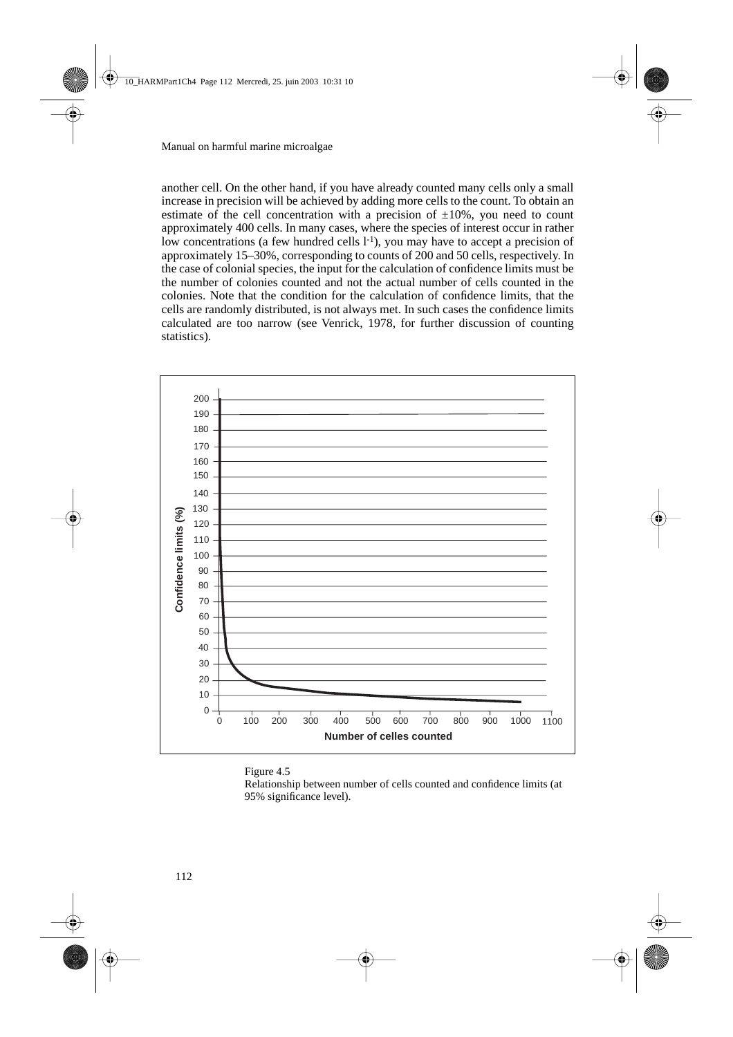another cell. On the other hand, if you have already counted many cells only a small increase in precision will be achieved by adding more cells to the count. To obtain an estimate of the cell concentration with a precision of  $\pm 10\%$ , you need to count approximately 400 cells. In many cases, where the species of interest occur in rather low concentrations (a few hundred cells  $l^{-1}$ ), you may have to accept a precision of approximately 15–30%, corresponding to counts of 200 and 50 cells, respectively. In the case of colonial species, the input for the calculation of confidence limits must be the number of colonies counted and not the actual number of cells counted in the colonies. Note that the condition for the calculation of confidence limits, that the cells are randomly distributed, is not always met. In such cases the confidence limits calculated are too narrow (see Venrick, 1978, for further discussion of counting statistics).



#### Figure 4.5

Relationship between number of cells counted and confidence limits (at 95% significance level).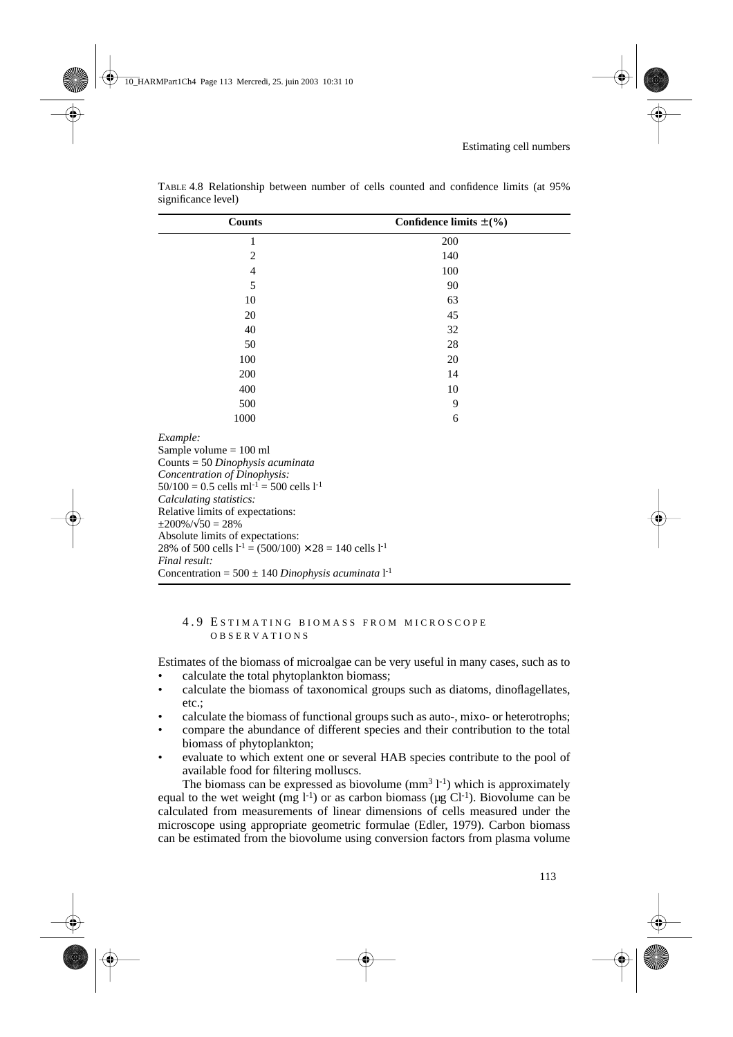| <b>Counts</b>                                                                                                                                                                                                                                                                                                                                                                                                                                                                     | Confidence limits $\pm$ (%) |
|-----------------------------------------------------------------------------------------------------------------------------------------------------------------------------------------------------------------------------------------------------------------------------------------------------------------------------------------------------------------------------------------------------------------------------------------------------------------------------------|-----------------------------|
| 1                                                                                                                                                                                                                                                                                                                                                                                                                                                                                 | 200                         |
| 2                                                                                                                                                                                                                                                                                                                                                                                                                                                                                 | 140                         |
| 4                                                                                                                                                                                                                                                                                                                                                                                                                                                                                 | 100                         |
| 5                                                                                                                                                                                                                                                                                                                                                                                                                                                                                 | 90                          |
| 10                                                                                                                                                                                                                                                                                                                                                                                                                                                                                | 63                          |
| 20                                                                                                                                                                                                                                                                                                                                                                                                                                                                                | 45                          |
| 40                                                                                                                                                                                                                                                                                                                                                                                                                                                                                | 32                          |
| 50                                                                                                                                                                                                                                                                                                                                                                                                                                                                                | 28                          |
| 100                                                                                                                                                                                                                                                                                                                                                                                                                                                                               | 20                          |
| 200                                                                                                                                                                                                                                                                                                                                                                                                                                                                               | 14                          |
| 400                                                                                                                                                                                                                                                                                                                                                                                                                                                                               | 10                          |
| 500                                                                                                                                                                                                                                                                                                                                                                                                                                                                               | 9                           |
| 1000                                                                                                                                                                                                                                                                                                                                                                                                                                                                              | 6                           |
| Example:<br>Sample volume $= 100$ ml<br>Counts = 50 Dinophysis acuminata<br>Concentration of Dinophysis:<br>$50/100 = 0.5$ cells ml <sup>-1</sup> = 500 cells l <sup>-1</sup><br>Calculating statistics:<br>Relative limits of expectations:<br>$\pm 200\% / \sqrt{50} = 28\%$<br>Absolute limits of expectations:<br>28% of 500 cells $l^{-1} = (500/100) \times 28 = 140$ cells $l^{-1}$<br>Final result:<br>Concentration = $500 \pm 140$ Dinophysis acuminata l <sup>-1</sup> |                             |

TABLE 4.8 Relationship between number of cells counted and confidence limits (at 95% significance level)

## 4.9 E STIMATING BIOMASS FROM MICROSCOPE OBSERVATIONS

Estimates of the biomass of microalgae can be very useful in many cases, such as to

- calculate the total phytoplankton biomass;
- calculate the biomass of taxonomical groups such as diatoms, dinoflagellates, etc.;
- calculate the biomass of functional groups such as auto-, mixo- or heterotrophs;
- compare the abundance of different species and their contribution to the total biomass of phytoplankton;
- evaluate to which extent one or several HAB species contribute to the pool of available food for filtering molluscs.

The biomass can be expressed as biovolume  $(mm<sup>3</sup> l<sup>-1</sup>)$  which is approximately equal to the wet weight (mg  $l^{-1}$ ) or as carbon biomass (µg Cl<sup>-1</sup>). Biovolume can be calculated from measurements of linear dimensions of cells measured under the microscope using appropriate geometric formulae (Edler, 1979). Carbon biomass can be estimated from the biovolume using conversion factors from plasma volume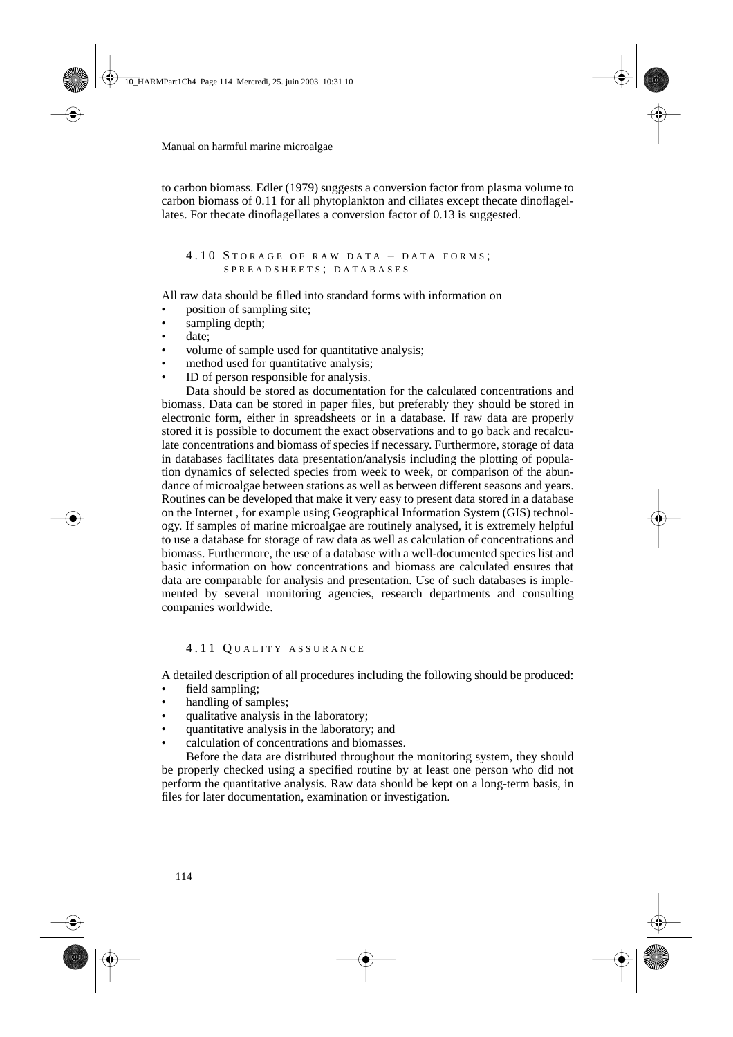to carbon biomass. Edler (1979) suggests a conversion factor from plasma volume to carbon biomass of 0.11 for all phytoplankton and ciliates except thecate dinoflagellates. For thecate dinoflagellates a conversion factor of 0.13 is suggested.

## 4.10 STORAGE OF RAW DATA - DATA FORMS; SPREADSHEETS ; DATABASES

All raw data should be filled into standard forms with information on

- position of sampling site;
- sampling depth;
- date:
- volume of sample used for quantitative analysis;
- method used for quantitative analysis;
- ID of person responsible for analysis.

Data should be stored as documentation for the calculated concentrations and biomass. Data can be stored in paper files, but preferably they should be stored in electronic form, either in spreadsheets or in a database. If raw data are properly stored it is possible to document the exact observations and to go back and recalculate concentrations and biomass of species if necessary. Furthermore, storage of data in databases facilitates data presentation/analysis including the plotting of population dynamics of selected species from week to week, or comparison of the abundance of microalgae between stations as well as between different seasons and years. Routines can be developed that make it very easy to present data stored in a database on the Internet , for example using Geographical Information System (GIS) technology. If samples of marine microalgae are routinely analysed, it is extremely helpful to use a database for storage of raw data as well as calculation of concentrations and biomass. Furthermore, the use of a database with a well-documented species list and basic information on how concentrations and biomass are calculated ensures that data are comparable for analysis and presentation. Use of such databases is implemented by several monitoring agencies, research departments and consulting companies worldwide.

## 4.11 Q UALITY ASSURANCE

A detailed description of all procedures including the following should be produced:

- field sampling;
- handling of samples;
- qualitative analysis in the laboratory;
- quantitative analysis in the laboratory; and
- calculation of concentrations and biomasses.

Before the data are distributed throughout the monitoring system, they should be properly checked using a specified routine by at least one person who did not perform the quantitative analysis. Raw data should be kept on a long-term basis, in files for later documentation, examination or investigation.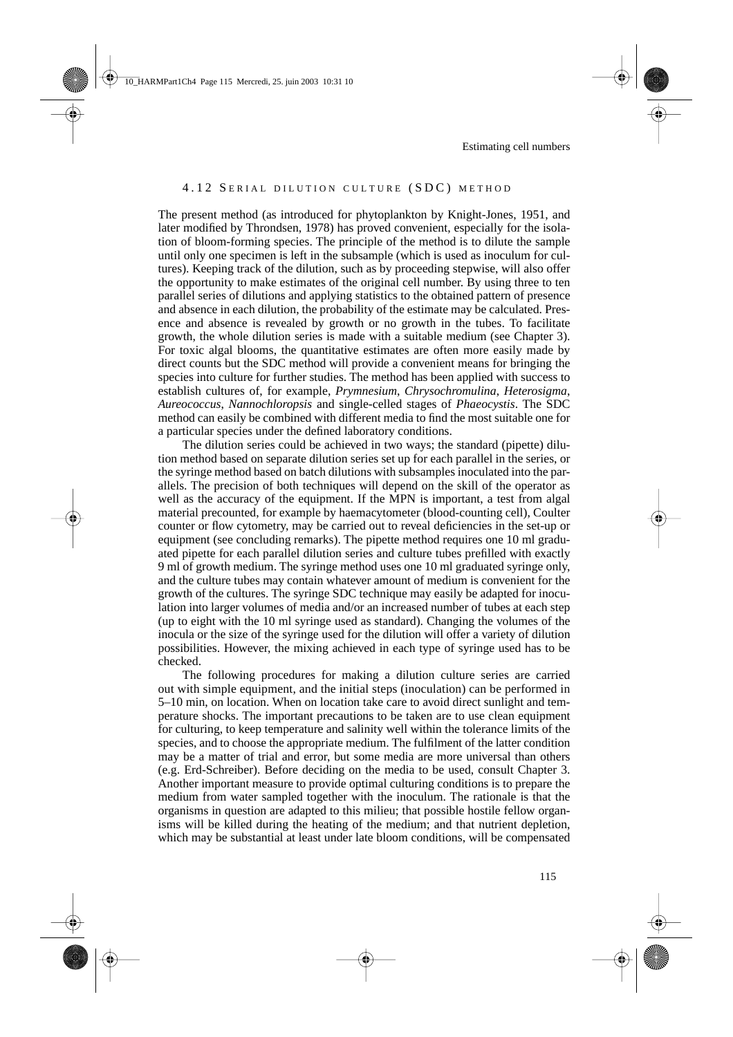## 4.12 SERIAL DILUTION CULTURE (SDC) METHOD

The present method (as introduced for phytoplankton by Knight-Jones, 1951, and later modified by Throndsen, 1978) has proved convenient, especially for the isolation of bloom-forming species. The principle of the method is to dilute the sample until only one specimen is left in the subsample (which is used as inoculum for cultures). Keeping track of the dilution, such as by proceeding stepwise, will also offer the opportunity to make estimates of the original cell number. By using three to ten parallel series of dilutions and applying statistics to the obtained pattern of presence and absence in each dilution, the probability of the estimate may be calculated. Presence and absence is revealed by growth or no growth in the tubes. To facilitate growth, the whole dilution series is made with a suitable medium (see Chapter 3). For toxic algal blooms, the quantitative estimates are often more easily made by direct counts but the SDC method will provide a convenient means for bringing the species into culture for further studies. The method has been applied with success to establish cultures of, for example, *Prymnesium*, *Chrysochromulina*, *Heterosigma*, *Aureococcus*, *Nannochloropsis* and single-celled stages of *Phaeocystis*. The SDC method can easily be combined with different media to find the most suitable one for a particular species under the defined laboratory conditions.

The dilution series could be achieved in two ways; the standard (pipette) dilution method based on separate dilution series set up for each parallel in the series, or the syringe method based on batch dilutions with subsamples inoculated into the parallels. The precision of both techniques will depend on the skill of the operator as well as the accuracy of the equipment. If the MPN is important, a test from algal material precounted, for example by haemacytometer (blood-counting cell), Coulter counter or flow cytometry, may be carried out to reveal deficiencies in the set-up or equipment (see concluding remarks). The pipette method requires one 10 ml graduated pipette for each parallel dilution series and culture tubes prefilled with exactly 9 ml of growth medium. The syringe method uses one 10 ml graduated syringe only, and the culture tubes may contain whatever amount of medium is convenient for the growth of the cultures. The syringe SDC technique may easily be adapted for inoculation into larger volumes of media and/or an increased number of tubes at each step (up to eight with the 10 ml syringe used as standard). Changing the volumes of the inocula or the size of the syringe used for the dilution will offer a variety of dilution possibilities. However, the mixing achieved in each type of syringe used has to be checked.

The following procedures for making a dilution culture series are carried out with simple equipment, and the initial steps (inoculation) can be performed in 5–10 min, on location. When on location take care to avoid direct sunlight and temperature shocks. The important precautions to be taken are to use clean equipment for culturing, to keep temperature and salinity well within the tolerance limits of the species, and to choose the appropriate medium. The fulfilment of the latter condition may be a matter of trial and error, but some media are more universal than others (e.g. Erd-Schreiber). Before deciding on the media to be used, consult Chapter 3. Another important measure to provide optimal culturing conditions is to prepare the medium from water sampled together with the inoculum. The rationale is that the organisms in question are adapted to this milieu; that possible hostile fellow organisms will be killed during the heating of the medium; and that nutrient depletion, which may be substantial at least under late bloom conditions, will be compensated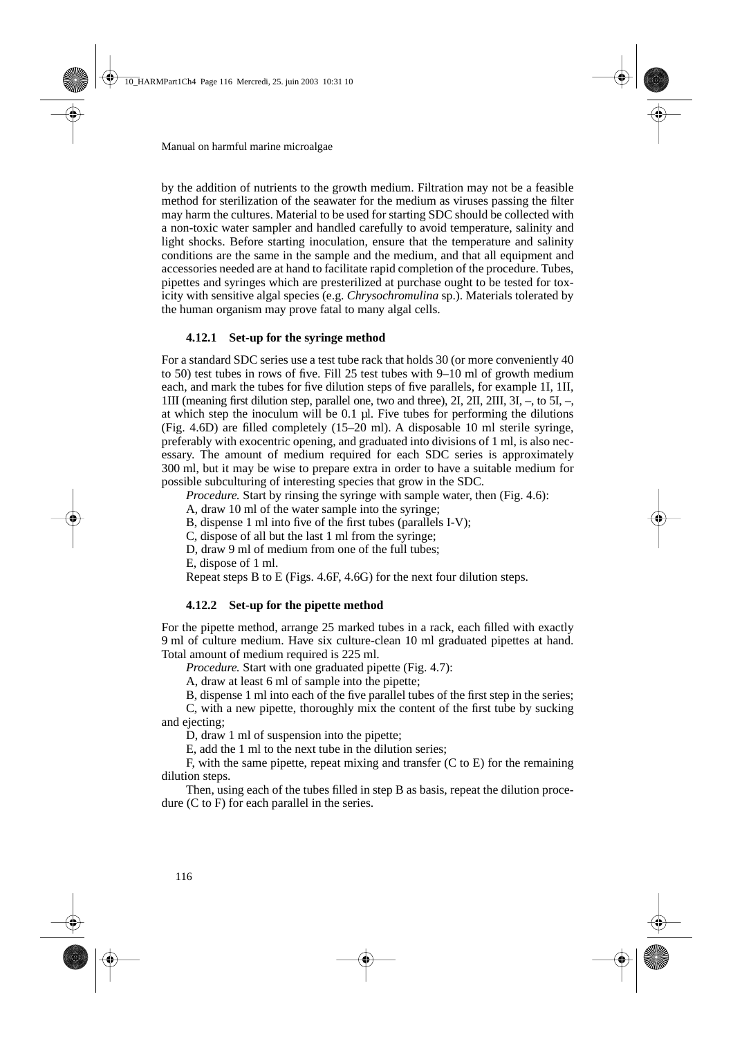by the addition of nutrients to the growth medium. Filtration may not be a feasible method for sterilization of the seawater for the medium as viruses passing the filter may harm the cultures. Material to be used for starting SDC should be collected with a non-toxic water sampler and handled carefully to avoid temperature, salinity and light shocks. Before starting inoculation, ensure that the temperature and salinity conditions are the same in the sample and the medium, and that all equipment and accessories needed are at hand to facilitate rapid completion of the procedure. Tubes, pipettes and syringes which are presterilized at purchase ought to be tested for toxicity with sensitive algal species (e.g. *Chrysochromulina* sp.). Materials tolerated by the human organism may prove fatal to many algal cells.

# **4.12.1 Set-up for the syringe method**

For a standard SDC series use a test tube rack that holds 30 (or more conveniently 40 to 50) test tubes in rows of five. Fill 25 test tubes with 9–10 ml of growth medium each, and mark the tubes for five dilution steps of five parallels, for example 1I, 1II, 1III (meaning first dilution step, parallel one, two and three), 2I, 2II, 2III, 3I, –, to 5I, –, at which step the inoculum will be 0.1 µl. Five tubes for performing the dilutions (Fig. 4.6D) are filled completely (15–20 ml). A disposable 10 ml sterile syringe, preferably with exocentric opening, and graduated into divisions of 1 ml, is also necessary. The amount of medium required for each SDC series is approximately 300 ml, but it may be wise to prepare extra in order to have a suitable medium for possible subculturing of interesting species that grow in the SDC.

*Procedure.* Start by rinsing the syringe with sample water, then (Fig. 4.6):

A, draw 10 ml of the water sample into the syringe;

B, dispense 1 ml into five of the first tubes (parallels I-V);

C, dispose of all but the last 1 ml from the syringe;

D, draw 9 ml of medium from one of the full tubes;

E, dispose of 1 ml.

Repeat steps B to E (Figs. 4.6F, 4.6G) for the next four dilution steps.

# **4.12.2 Set-up for the pipette method**

For the pipette method, arrange 25 marked tubes in a rack, each filled with exactly 9 ml of culture medium. Have six culture-clean 10 ml graduated pipettes at hand. Total amount of medium required is 225 ml.

*Procedure.* Start with one graduated pipette (Fig. 4.7):

A, draw at least 6 ml of sample into the pipette;

B, dispense 1 ml into each of the five parallel tubes of the first step in the series;

C, with a new pipette, thoroughly mix the content of the first tube by sucking and ejecting;

D, draw 1 ml of suspension into the pipette;

E, add the 1 ml to the next tube in the dilution series;

F, with the same pipette, repeat mixing and transfer (C to E) for the remaining dilution steps.

Then, using each of the tubes filled in step B as basis, repeat the dilution procedure (C to F) for each parallel in the series.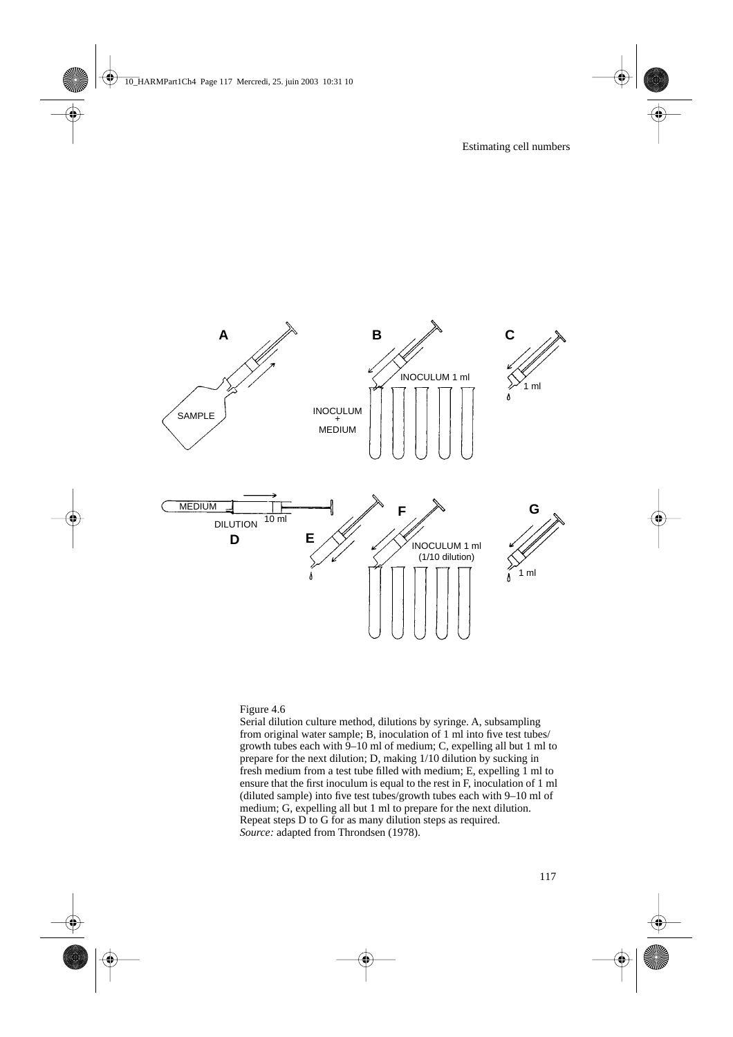

#### Figure 4.6

Serial dilution culture method, dilutions by syringe. A, subsampling from original water sample; B, inoculation of 1 ml into five test tubes/ growth tubes each with 9–10 ml of medium; C, expelling all but 1 ml to prepare for the next dilution; D, making 1/10 dilution by sucking in fresh medium from a test tube filled with medium; E, expelling 1 ml to ensure that the first inoculum is equal to the rest in F, inoculation of 1 ml (diluted sample) into five test tubes/growth tubes each with 9–10 ml of medium; G, expelling all but 1 ml to prepare for the next dilution. Repeat steps D to G for as many dilution steps as required. *Source:* adapted from Throndsen (1978).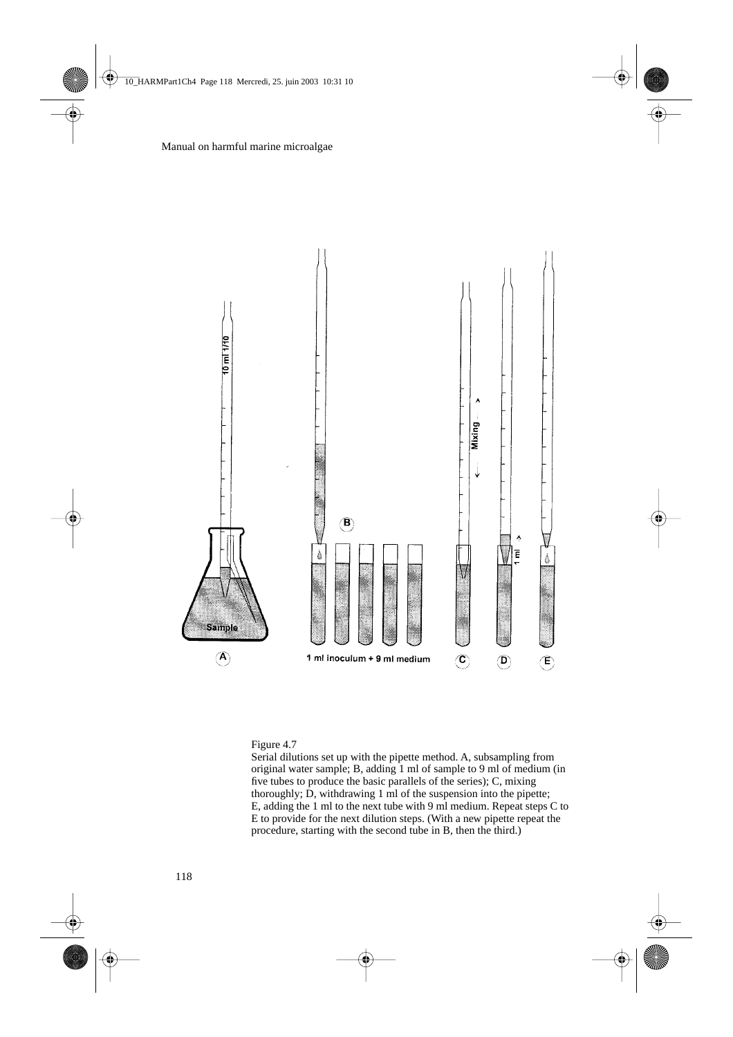

#### Figure 4.7

Serial dilutions set up with the pipette method. A, subsampling from original water sample; B, adding 1 ml of sample to 9 ml of medium (in five tubes to produce the basic parallels of the series); C, mixing thoroughly; D, withdrawing 1 ml of the suspension into the pipette; E, adding the 1 ml to the next tube with 9 ml medium. Repeat steps C to E to provide for the next dilution steps. (With a new pipette repeat the procedure, starting with the second tube in B, then the third.)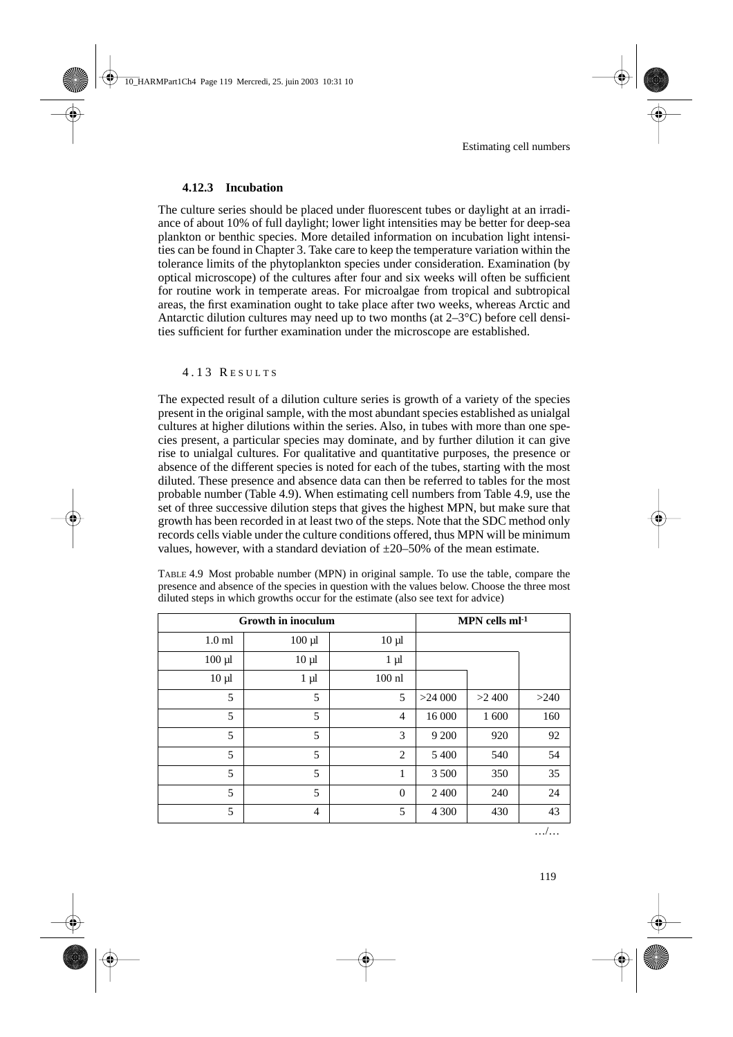## **4.12.3 Incubation**

The culture series should be placed under fluorescent tubes or daylight at an irradiance of about 10% of full daylight; lower light intensities may be better for deep-sea plankton or benthic species. More detailed information on incubation light intensities can be found in Chapter 3. Take care to keep the temperature variation within the tolerance limits of the phytoplankton species under consideration. Examination (by optical microscope) of the cultures after four and six weeks will often be sufficient for routine work in temperate areas. For microalgae from tropical and subtropical areas, the first examination ought to take place after two weeks, whereas Arctic and Antarctic dilution cultures may need up to two months (at  $2-3^{\circ}C$ ) before cell densities sufficient for further examination under the microscope are established.

## 4.13 R ESULTS

The expected result of a dilution culture series is growth of a variety of the species present in the original sample, with the most abundant species established as unialgal cultures at higher dilutions within the series. Also, in tubes with more than one species present, a particular species may dominate, and by further dilution it can give rise to unialgal cultures. For qualitative and quantitative purposes, the presence or absence of the different species is noted for each of the tubes, starting with the most diluted. These presence and absence data can then be referred to tables for the most probable number (Table 4.9). When estimating cell numbers from Table 4.9, use the set of three successive dilution steps that gives the highest MPN, but make sure that growth has been recorded in at least two of the steps. Note that the SDC method only records cells viable under the culture conditions offered, thus MPN will be minimum values, however, with a standard deviation of  $\pm 20-50\%$  of the mean estimate.

| <b>Growth in inoculum</b> |                |                |         | MPN cells $ml^{-1}$ |      |
|---------------------------|----------------|----------------|---------|---------------------|------|
| 1.0 <sub>m</sub>          | $100 \mu l$    | $10 \mu l$     |         |                     |      |
| $100 \mu$                 | $10 \mu l$     | $1 \mu l$      |         |                     |      |
| $10 \mu l$                | $1 \mu l$      | $100$ nl       |         |                     |      |
| 5                         | 5              | 5              | >24000  | >2400               | >240 |
| 5                         | 5              | $\overline{4}$ | 16 000  | 1 600               | 160  |
| 5                         | 5              | 3              | 9 200   | 920                 | 92   |
| 5                         | 5              | $\overline{2}$ | 5 400   | 540                 | 54   |
| 5                         | 5              | 1              | 3 500   | 350                 | 35   |
| 5                         | 5              | $\mathbf{0}$   | 2 4 0 0 | 240                 | 24   |
| 5                         | $\overline{4}$ | 5              | 4 3 0 0 | 430                 | 43   |

TABLE 4.9 Most probable number (MPN) in original sample. To use the table, compare the presence and absence of the species in question with the values below. Choose the three most diluted steps in which growths occur for the estimate (also see text for advice)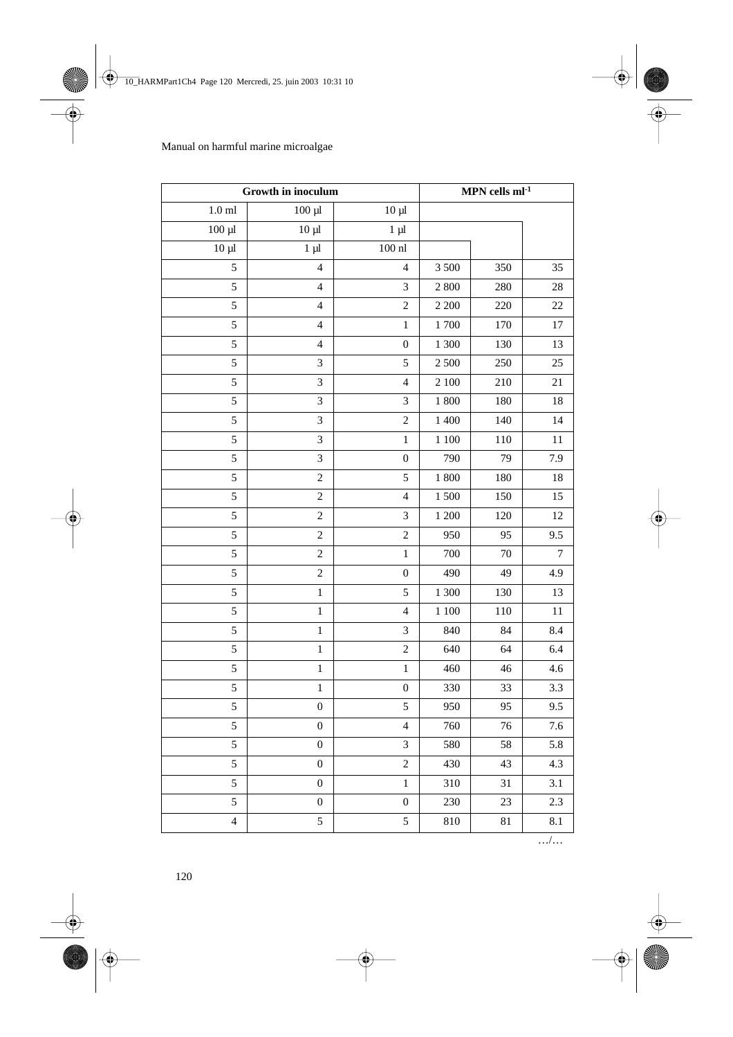| Growth in inoculum |                             |                             | MPN cells $ml^{-1}$ |        |     |
|--------------------|-----------------------------|-----------------------------|---------------------|--------|-----|
| $1.0$ ml           | $100 \mu l$                 | $10 \mu l$                  |                     |        |     |
| $100 \mu l$        | $10 \mu l$                  | $1 \mu l$                   |                     |        |     |
| $10 \mu l$         | $1 \mu l$                   | $100$ nl                    |                     |        |     |
| 5                  | $\overline{4}$              | $\overline{4}$              | 3 500               | 350    | 35  |
| 5                  | $\overline{4}$              | 3                           | 2800                | 280    | 28  |
| 5                  | $\overline{4}$              | $\overline{c}$              | $2\,200$            | 220    | 22  |
| 5                  | $\overline{\mathcal{L}}$    | $\mathbf{1}$                | 1700                | 170    | 17  |
| 5                  | $\overline{\mathcal{A}}$    | $\boldsymbol{0}$            | 1 300               | 130    | 13  |
| 5                  | $\ensuremath{\mathfrak{Z}}$ | 5                           | 2 500               | 250    | 25  |
| 5                  | 3                           | $\overline{\mathbf{4}}$     | $2\;100$            | 210    | 21  |
| 5                  | $\mathfrak{Z}$              | $\mathfrak{Z}$              | 1 800               | 180    | 18  |
| 5                  | 3                           | $\sqrt{2}$                  | 1 400               | 140    | 14  |
| 5                  | $\overline{3}$              | $\mathbf{1}$                | $1\;100$            | 110    | 11  |
| 5                  | 3                           | $\boldsymbol{0}$            | 790                 | 79     | 7.9 |
| 5                  | $\overline{c}$              | $\sqrt{5}$                  | $1\ 800$            | 180    | 18  |
| 5                  | $\overline{c}$              | $\overline{\mathbf{4}}$     | 1500                | 150    | 15  |
| 5                  | $\sqrt{2}$                  | $\mathfrak{Z}$              | 1 200               | 120    | 12  |
| 5                  | $\sqrt{2}$                  | $\overline{c}$              | 950                 | 95     | 9.5 |
| 5                  | $\sqrt{2}$                  | $\mathbf{1}$                | 700                 | 70     | 7   |
| 5                  | $\sqrt{2}$                  | $\boldsymbol{0}$            | 490                 | 49     | 4.9 |
| 5                  | $\,1$                       | 5                           | 1 300               | 130    | 13  |
| 5                  | $\,1$                       | $\overline{\mathbf{4}}$     | $1\;100$            | 110    | 11  |
| 5                  | $\,1$                       | $\mathfrak{Z}$              | 840                 | 84     | 8.4 |
| 5                  | $\,1$                       | $\overline{c}$              | 640                 | 64     | 6.4 |
| 5                  | $\,1$                       | $\mathbf{1}$                | 460                 | 46     | 4.6 |
| 5                  | $\,1$                       | $\boldsymbol{0}$            | 330                 | 33     | 3.3 |
| 5                  | $\boldsymbol{0}$            | 5                           | 950                 | 95     | 9.5 |
| 5                  | $\boldsymbol{0}$            | $\overline{4}$              | 760                 | 76     | 7.6 |
| 5                  | $\boldsymbol{0}$            | $\ensuremath{\mathfrak{Z}}$ | 580                 | 58     | 5.8 |
| $\overline{5}$     | $\boldsymbol{0}$            | $\overline{c}$              | 430                 | 43     | 4.3 |
| 5                  | $\boldsymbol{0}$            | $\,1$                       | 310                 | 31     | 3.1 |
| 5                  | $\boldsymbol{0}$            | $\boldsymbol{0}$            | 230                 | 23     | 2.3 |
| $\overline{4}$     | 5                           | 5                           | 810                 | $81\,$ | 8.1 |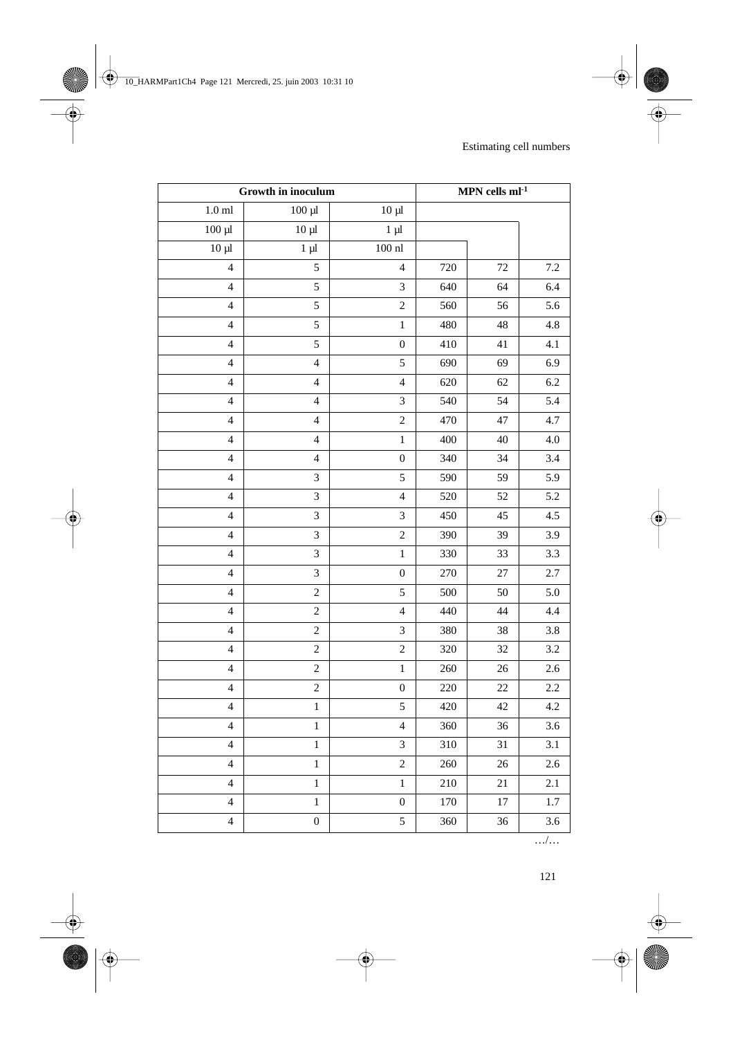| Growth in inoculum       |                          |                             | MPN cells $ml^{-1}$ |        |         |
|--------------------------|--------------------------|-----------------------------|---------------------|--------|---------|
| $1.0\;\mathrm{ml}$       | $100 \mu l$              | $10 \mu l$                  |                     |        |         |
| $\frac{1}{100}$ $\mu$    | $10 \mu l$               | $1 \mu l$                   |                     |        |         |
| $10 \mu$                 | $1 \mu l$                | $100\;\mathrm{n}$           |                     |        |         |
| $\overline{\mathcal{L}}$ | 5                        | $\overline{4}$              | 720                 | $72\,$ | 7.2     |
| $\overline{\mathcal{L}}$ | 5                        | $\mathfrak{Z}$              | 640                 | 64     | 6.4     |
| $\overline{\mathcal{L}}$ | 5                        | $\sqrt{2}$                  | 560                 | 56     | 5.6     |
| $\overline{4}$           | 5                        | $\,1$                       | 480                 | 48     | 4.8     |
| $\overline{\mathcal{L}}$ | 5                        | $\boldsymbol{0}$            | 410                 | 41     | 4.1     |
| $\overline{4}$           | $\overline{\mathcal{L}}$ | 5                           | 690                 | 69     | 6.9     |
| $\overline{4}$           | $\overline{4}$           | $\overline{\mathbf{4}}$     | 620                 | 62     | 6.2     |
| $\overline{4}$           | $\overline{\mathbf{4}}$  | $\mathfrak{Z}$              | 540                 | 54     | 5.4     |
| $\overline{4}$           | $\overline{\mathcal{L}}$ | $\overline{c}$              | 470                 | 47     | 4.7     |
| $\overline{4}$           | $\overline{\mathcal{L}}$ | $\,1$                       | 400                 | 40     | 4.0     |
| $\overline{4}$           | $\overline{\mathbf{4}}$  | $\boldsymbol{0}$            | 340                 | 34     | 3.4     |
| $\overline{4}$           | 3                        | 5                           | 590                 | 59     | 5.9     |
| $\overline{4}$           | $\mathfrak{Z}$           | $\overline{\mathbf{4}}$     | 520                 | 52     | 5.2     |
| $\overline{4}$           | 3                        | $\mathfrak{Z}$              | 450                 | 45     | 4.5     |
| $\overline{4}$           | 3                        | $\overline{c}$              | 390                 | 39     | 3.9     |
| $\overline{\mathcal{A}}$ | 3                        | $\,1$                       | 330                 | 33     | 3.3     |
| $\overline{\mathcal{L}}$ | 3                        | $\boldsymbol{0}$            | 270                 | 27     | 2.7     |
| $\overline{\mathcal{L}}$ | $\overline{c}$           | 5                           | 500                 | 50     | 5.0     |
| $\overline{4}$           | $\boldsymbol{2}$         | $\overline{4}$              | 440                 | 44     | 4.4     |
| $\overline{4}$           | $\sqrt{2}$               | $\mathfrak{Z}$              | 380                 | 38     | 3.8     |
| $\overline{\mathcal{L}}$ | $\overline{c}$           | $\overline{c}$              | 320                 | 32     | 3.2     |
| $\overline{\mathcal{L}}$ | $\boldsymbol{2}$         | $\mathbf{1}$                | 260                 | 26     | 2.6     |
| $\overline{\mathcal{L}}$ | $\overline{c}$           | $\boldsymbol{0}$            | 220                 | $22\,$ | 2.2     |
| $\overline{\mathcal{L}}$ | $\,1$                    | 5                           | 420                 | 42     | 4.2     |
| $\overline{\mathcal{A}}$ | $\,1$                    | $\overline{4}$              | 360                 | 36     | 3.6     |
| $\overline{4}$           | $\mathbf{1}$             | $\ensuremath{\mathfrak{Z}}$ | 310                 | 31     | 3.1     |
| $\overline{\mathbf{4}}$  | $\,1$                    | $\overline{c}$              | 260                 | $26\,$ | 2.6     |
| $\overline{4}$           | $\,1$                    | $\mathbf{1}$                | 210                 | 21     | 2.1     |
| $\overline{\mathcal{L}}$ | $\,1$                    | $\boldsymbol{0}$            | 170                 | 17     | $1.7\,$ |
| $\overline{\mathbf{4}}$  | $\boldsymbol{0}$         | 5                           | 360                 | 36     | 3.6     |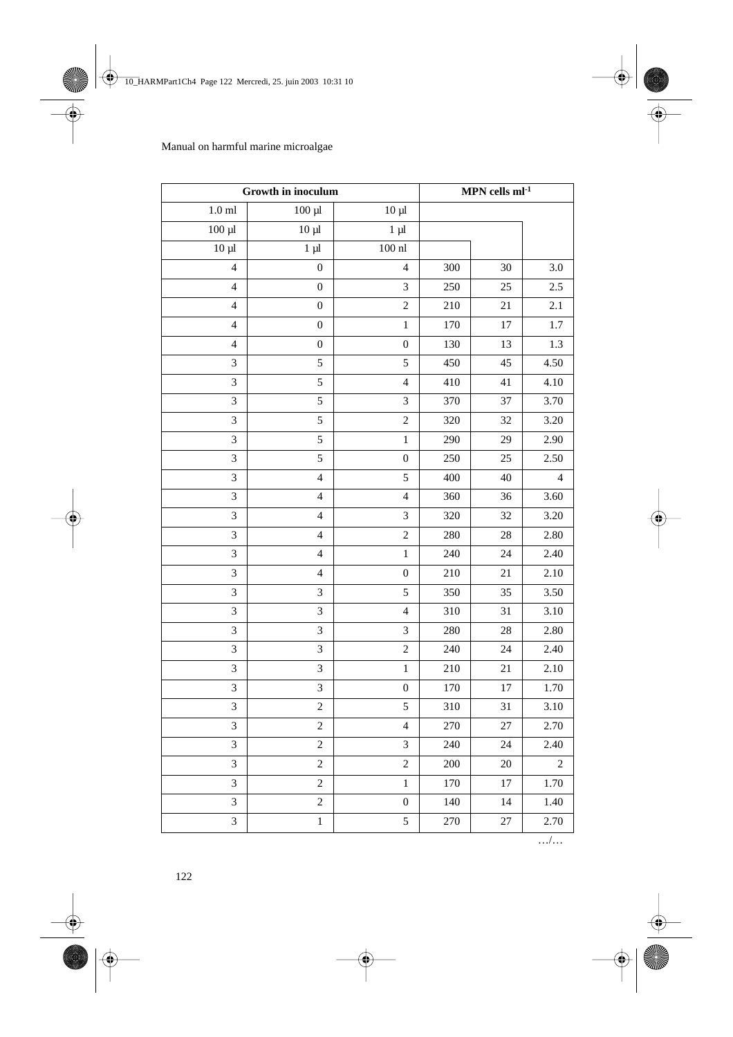| Growth in inoculum          |                             | MPN cells $ml^{-1}$         |     |        |                |
|-----------------------------|-----------------------------|-----------------------------|-----|--------|----------------|
| $1.0\;\mathrm{ml}$          | $100 \mu l$                 | $10 \mu l$                  |     |        |                |
| $100 \mu l$                 | $10 \mu$                    | $1 \mu l$                   |     |        |                |
| $10 \mu l$                  | $1 \mu l$                   | $100$ nl                    |     |        |                |
| $\overline{4}$              | $\boldsymbol{0}$            | $\overline{\mathbf{4}}$     | 300 | 30     | 3.0            |
| $\overline{4}$              | $\boldsymbol{0}$            | 3                           | 250 | 25     | 2.5            |
| $\overline{4}$              | $\boldsymbol{0}$            | $\boldsymbol{2}$            | 210 | 21     | 2.1            |
| $\overline{4}$              | $\boldsymbol{0}$            | $\,1$                       | 170 | $17\,$ | 1.7            |
| $\overline{4}$              | $\boldsymbol{0}$            | $\boldsymbol{0}$            | 130 | 13     | 1.3            |
| $\mathfrak{Z}$              | 5                           | 5                           | 450 | 45     | 4.50           |
| $\mathfrak{Z}$              | $\sqrt{5}$                  | $\overline{\mathbf{4}}$     | 410 | 41     | 4.10           |
| 3                           | 5                           | 3                           | 370 | 37     | 3.70           |
| 3                           | $\sqrt{5}$                  | $\overline{c}$              | 320 | 32     | 3.20           |
| $\mathfrak{Z}$              | 5                           | $\,1$                       | 290 | 29     | 2.90           |
| 3                           | 5                           | $\boldsymbol{0}$            | 250 | 25     | 2.50           |
| $\mathfrak{Z}$              | $\overline{\mathcal{A}}$    | $\sqrt{5}$                  | 400 | 40     | 4              |
| $\mathfrak{Z}$              | $\overline{\mathbf{4}}$     | $\overline{\mathbf{4}}$     | 360 | 36     | 3.60           |
| $\mathfrak{Z}$              | $\overline{\mathbf{4}}$     | 3                           | 320 | 32     | 3.20           |
| 3                           | $\overline{\mathcal{A}}$    | $\boldsymbol{2}$            | 280 | $28\,$ | 2.80           |
| $\mathfrak{Z}$              | $\overline{\mathbf{4}}$     | $\,1$                       | 240 | 24     | 2.40           |
| $\mathfrak{Z}$              | $\overline{4}$              | $\boldsymbol{0}$            | 210 | 21     | 2.10           |
| 3                           | $\ensuremath{\mathfrak{Z}}$ | 5                           | 350 | 35     | 3.50           |
| $\ensuremath{\mathfrak{Z}}$ | $\mathfrak{Z}$              | $\overline{\mathbf{4}}$     | 310 | 31     | 3.10           |
| $\mathfrak{Z}$              | $\mathfrak{Z}$              | $\mathfrak{Z}$              | 280 | 28     | 2.80           |
| 3                           | $\overline{3}$              | $\overline{c}$              | 240 | 24     | 2.40           |
| $\overline{3}$              | $\overline{3}$              | $\,1$                       | 210 | 21     | 2.10           |
| $\mathfrak{Z}$              | $\ensuremath{\mathfrak{Z}}$ | $\boldsymbol{0}$            | 170 | 17     | 1.70           |
| $\mathfrak{Z}$              | $\overline{c}$              | 5                           | 310 | 31     | 3.10           |
| 3                           | $\sqrt{2}$                  | $\overline{\mathbf{4}}$     | 270 | $27\,$ | 2.70           |
| 3                           | $\sqrt{2}$                  | $\ensuremath{\mathfrak{Z}}$ | 240 | 24     | 2.40           |
| $\overline{3}$              | $\sqrt{2}$                  | $\overline{c}$              | 200 | 20     | $\overline{2}$ |
| 3                           | $\boldsymbol{2}$            | $\,1$                       | 170 | 17     | 1.70           |
| 3                           | $\boldsymbol{2}$            | $\boldsymbol{0}$            | 140 | 14     | 1.40           |
| 3                           | $\,1$                       | 5                           | 270 | $27\,$ | 2.70           |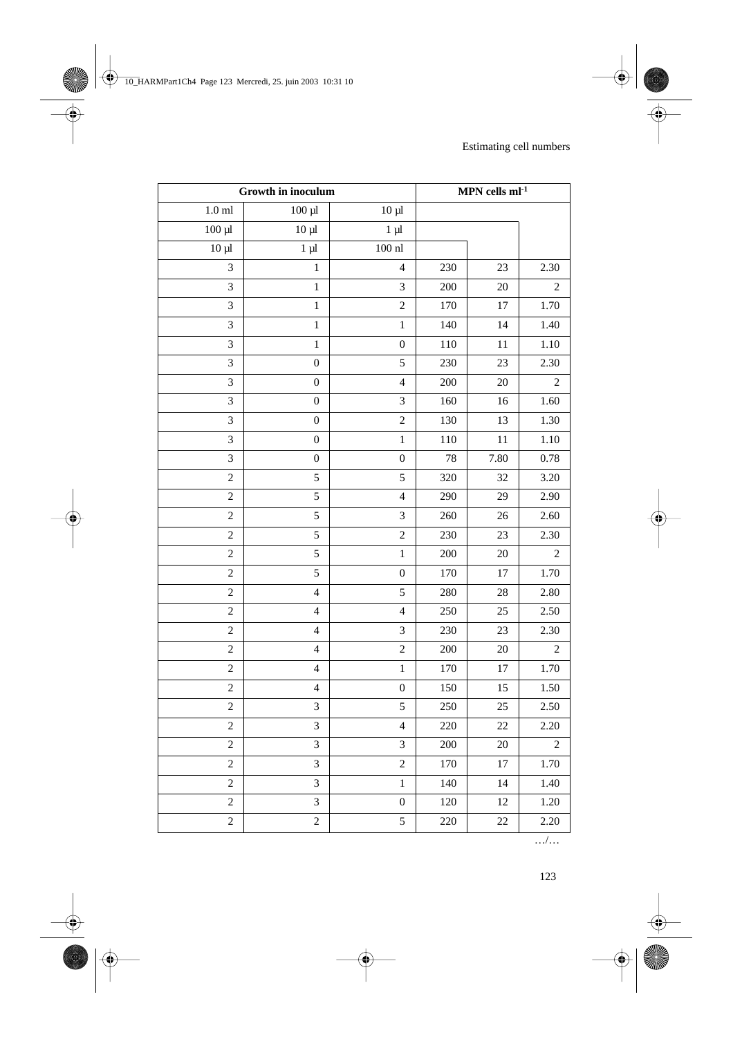| Growth in inoculum |                          | MPN cells $ml^{-1}$ |         |        |                |
|--------------------|--------------------------|---------------------|---------|--------|----------------|
| $1.0\;\mathrm{ml}$ | $100 \mu l$              | $10 \mu l$          |         |        |                |
| $100 \mu l$        | $10 \mu$                 | $1 \mu l$           |         |        |                |
| $10 \mu$           | $1 \mu l$                | $100\;\mathrm{n}$   |         |        |                |
| 3                  | $\mathbf 1$              | $\overline{4}$      | 230     | 23     | 2.30           |
| 3                  | $\mathbf 1$              | $\overline{3}$      | 200     | 20     | $\overline{2}$ |
| 3                  | $\,1$                    | $\sqrt{2}$          | 170     | 17     | 1.70           |
| 3                  | $\,1$                    | $\,1$               | 140     | 14     | 1.40           |
| 3                  | $\,1$                    | $\boldsymbol{0}$    | 110     | 11     | 1.10           |
| $\overline{3}$     | $\boldsymbol{0}$         | 5                   | 230     | 23     | 2.30           |
| 3                  | $\boldsymbol{0}$         | $\overline{4}$      | $200\,$ | 20     | $\overline{c}$ |
| 3                  | $\boldsymbol{0}$         | $\mathfrak{Z}$      | 160     | 16     | 1.60           |
| 3                  | $\boldsymbol{0}$         | $\overline{c}$      | 130     | 13     | 1.30           |
| 3                  | $\boldsymbol{0}$         | $\,$ 1 $\,$         | 110     | 11     | 1.10           |
| 3                  | $\boldsymbol{0}$         | $\boldsymbol{0}$    | 78      | 7.80   | 0.78           |
| $\overline{c}$     | 5                        | 5                   | 320     | 32     | 3.20           |
| $\overline{c}$     | 5                        | $\overline{4}$      | 290     | 29     | 2.90           |
| $\overline{c}$     | 5                        | $\mathfrak{Z}$      | 260     | $26\,$ | 2.60           |
| $\overline{c}$     | 5                        | $\overline{c}$      | 230     | 23     | 2.30           |
| $\boldsymbol{2}$   | 5                        | $\,1$               | $200\,$ | 20     | $\mathbf{2}$   |
| $\overline{c}$     | 5                        | $\boldsymbol{0}$    | 170     | 17     | 1.70           |
| $\overline{c}$     | $\overline{\mathbf{4}}$  | 5                   | 280     | $28\,$ | 2.80           |
| $\boldsymbol{2}$   | $\overline{\mathcal{L}}$ | $\overline{4}$      | 250     | 25     | 2.50           |
| $\boldsymbol{2}$   | $\overline{\mathbf{4}}$  | $\mathfrak{Z}$      | 230     | 23     | 2.30           |
| $\overline{c}$     | $\overline{\mathcal{L}}$ | $\overline{c}$      | 200     | $20\,$ | $\overline{2}$ |
| $\sqrt{2}$         | $\overline{4}$           | $\,1$               | 170     | 17     | 1.70           |
| $\overline{c}$     | $\overline{\mathbf{4}}$  | $\boldsymbol{0}$    | 150     | 15     | 1.50           |
| $\sqrt{2}$         | 3                        | 5                   | 250     | $25\,$ | 2.50           |
| $\overline{c}$     | 3                        | $\overline{4}$      | 220     | $22\,$ | 2.20           |
| $\sqrt{2}$         | $\mathfrak{Z}$           | $\mathfrak{Z}$      | 200     | 20     | $\overline{c}$ |
| $\overline{c}$     | 3                        | $\overline{c}$      | 170     | $17\,$ | 1.70           |
| $\overline{c}$     | $\mathfrak{Z}$           | $\mathbf{1}$        | 140     | 14     | 1.40           |
| $\overline{c}$     | 3                        | $\boldsymbol{0}$    | 120     | 12     | 1.20           |
| $\overline{c}$     | $\overline{c}$           | 5                   | 220     | $22\,$ | 2.20           |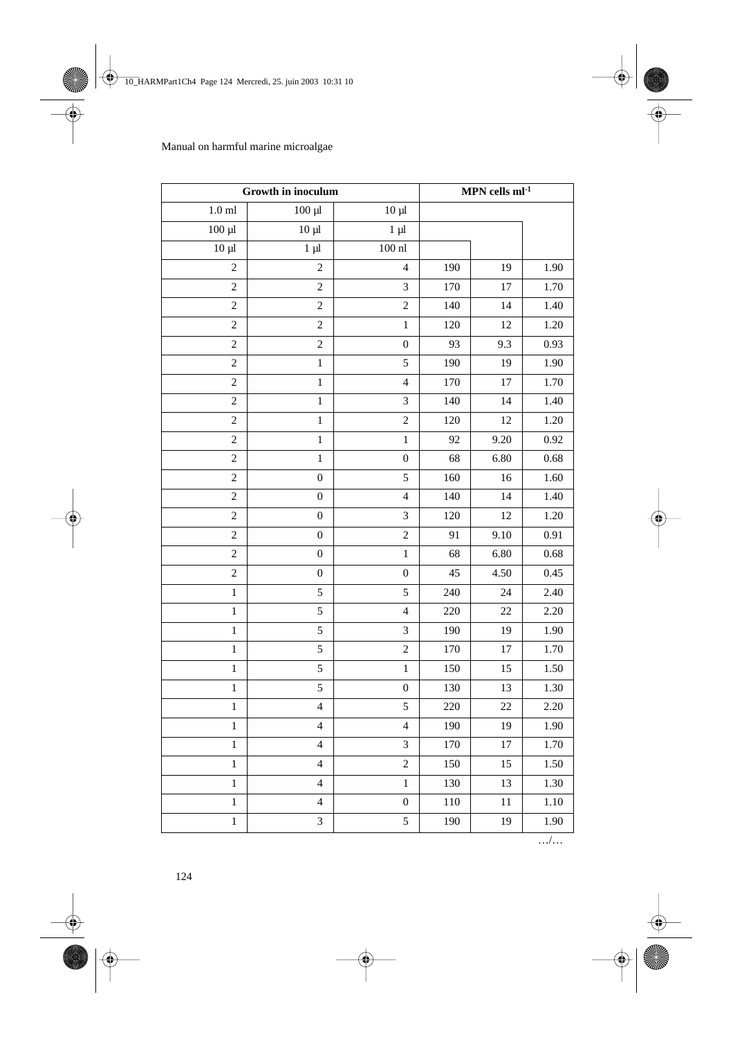| Growth in inoculum |                         | MPN cells $ml^{-1}$     |     |        |      |
|--------------------|-------------------------|-------------------------|-----|--------|------|
| $1.0\;\mathrm{ml}$ | $100 \mu l$             | $10 \mu$ l              |     |        |      |
| $100 \mu l$        | $10 \mu$                | $1 \mu l$               |     |        |      |
| $10 \mu$           | $1 \mu l$               | $100$ nl                |     |        |      |
| $\mathfrak{2}$     | $\overline{c}$          | $\overline{\mathbf{4}}$ | 190 | 19     | 1.90 |
| $\sqrt{2}$         | $\overline{c}$          | 3                       | 170 | 17     | 1.70 |
| $\mathfrak{2}$     | $\sqrt{2}$              | $\overline{c}$          | 140 | 14     | 1.40 |
| $\sqrt{2}$         | $\sqrt{2}$              | $\,1$                   | 120 | 12     | 1.20 |
| $\sqrt{2}$         | $\sqrt{2}$              | $\boldsymbol{0}$        | 93  | 9.3    | 0.93 |
| $\sqrt{2}$         | $\mathbf{1}$            | 5                       | 190 | 19     | 1.90 |
| $\sqrt{2}$         | $\,1\,$                 | $\overline{\mathbf{4}}$ | 170 | 17     | 1.70 |
| $\mathfrak{2}$     | $\,1\,$                 | 3                       | 140 | 14     | 1.40 |
| $\mathfrak{2}$     | $\,1$                   | $\overline{c}$          | 120 | 12     | 1.20 |
| $\mathfrak{2}$     | $\,1\,$                 | $\,1$                   | 92  | 9.20   | 0.92 |
| $\mathfrak{2}$     | $\mathbf 1$             | $\boldsymbol{0}$        | 68  | 6.80   | 0.68 |
| $\sqrt{2}$         | $\boldsymbol{0}$        | 5                       | 160 | 16     | 1.60 |
| $\mathfrak{2}$     | $\boldsymbol{0}$        | $\overline{\mathbf{4}}$ | 140 | 14     | 1.40 |
| $\mathfrak{2}$     | $\boldsymbol{0}$        | 3                       | 120 | 12     | 1.20 |
| $\mathfrak{2}$     | $\boldsymbol{0}$        | $\boldsymbol{2}$        | 91  | 9.10   | 0.91 |
| $\mathfrak{2}$     | $\boldsymbol{0}$        | $\,1$                   | 68  | 6.80   | 0.68 |
| $\sqrt{2}$         | $\boldsymbol{0}$        | $\boldsymbol{0}$        | 45  | 4.50   | 0.45 |
| $\mathbf{1}$       | 5                       | 5                       | 240 | 24     | 2.40 |
| $\,1\,$            | 5                       | $\overline{\mathbf{4}}$ | 220 | 22     | 2.20 |
| $\mathbf 1$        | 5                       | 3                       | 190 | 19     | 1.90 |
| $\,1$              | $\sqrt{5}$              | $\overline{c}$          | 170 | $17\,$ | 1.70 |
| $\,1\,$            | $\sqrt{5}$              | $\,1$                   | 150 | 15     | 1.50 |
| $\mathbf{1}$       | 5                       | $\boldsymbol{0}$        | 130 | 13     | 1.30 |
| $\,1$              | 4                       | 5                       | 220 | $22\,$ | 2.20 |
| $\,1$              | $\overline{4}$          | $\overline{\mathbf{4}}$ | 190 | 19     | 1.90 |
| $\,1$              | $\overline{\mathbf{4}}$ | $\mathfrak{Z}$          | 170 | 17     | 1.70 |
| $\mathbf{1}$       | $\overline{\mathbf{4}}$ | $\overline{c}$          | 150 | 15     | 1.50 |
| $\,1$              | $\overline{4}$          | $\,1$                   | 130 | 13     | 1.30 |
| $\mathbf{1}$       | $\overline{\mathbf{4}}$ | $\boldsymbol{0}$        | 110 | 11     | 1.10 |
| $\mathbf 1$        | $\mathfrak{Z}$          | 5                       | 190 | 19     | 1.90 |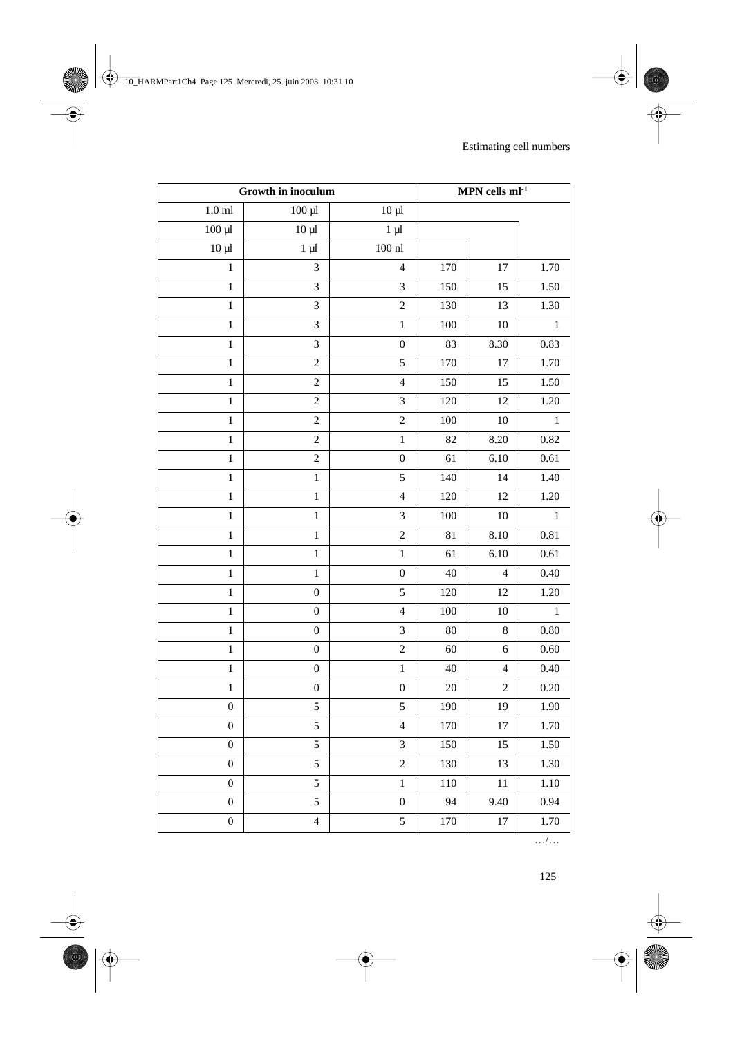| Growth in inoculum |                             | $\mathbf{MPN}$ cells $\mathbf{ml}{\text{-}1}$ |         |                          |              |
|--------------------|-----------------------------|-----------------------------------------------|---------|--------------------------|--------------|
| $1.0$ ml           | $100 \mu l$                 | $10 \mu l$                                    |         |                          |              |
| $100 \mu$          | $10 \mu l$                  | $1 \mu l$                                     |         |                          |              |
| $10 \mu l$         | $1 \mu l$                   | $100\;\mathrm{n}$                             |         |                          |              |
| $\mathbf{1}$       | $\ensuremath{\mathfrak{Z}}$ | $\overline{4}$                                | 170     | $17\,$                   | 1.70         |
| $\,1\,$            | $\overline{3}$              | 3                                             | 150     | 15                       | 1.50         |
| $\,1$              | $\mathfrak{Z}$              | $\overline{c}$                                | 130     | 13                       | 1.30         |
| $\,1$              | $\mathfrak{Z}$              | $\,1\,$                                       | 100     | 10                       | $\,1$        |
| $\,1$              | $\sqrt{3}$                  | $\boldsymbol{0}$                              | 83      | 8.30                     | 0.83         |
| $\,1$              | $\sqrt{2}$                  | 5                                             | 170     | $17\,$                   | 1.70         |
| $\,1\,$            | $\sqrt{2}$                  | $\overline{4}$                                | 150     | 15                       | 1.50         |
| $\mathbf{1}$       | $\sqrt{2}$                  | 3                                             | 120     | 12                       | 1.20         |
| $\,1$              | $\sqrt{2}$                  | $\overline{c}$                                | $100\,$ | 10                       | $\,1$        |
| $\,1$              | $\sqrt{2}$                  | $\mathbf 1$                                   | 82      | 8.20                     | 0.82         |
| $\,1$              | $\sqrt{2}$                  | $\boldsymbol{0}$                              | 61      | 6.10                     | $0.61\,$     |
| $\,1$              | $\,1$                       | 5                                             | 140     | 14                       | 1.40         |
| $\mathbf{1}$       | $\,1$                       | $\overline{\mathbf{4}}$                       | 120     | 12                       | 1.20         |
| $\,1$              | $\,1$                       | 3                                             | $100\,$ | 10                       | $\mathbf{1}$ |
| $\,1$              | $\,1$                       | $\overline{c}$                                | 81      | 8.10                     | 0.81         |
| $\,1\,$            | $\,1$                       | $\,1\,$                                       | 61      | 6.10                     | 0.61         |
| $\,1$              | $\,1$                       | $\boldsymbol{0}$                              | 40      | $\overline{\mathcal{L}}$ | 0.40         |
| $\,1$              | $\boldsymbol{0}$            | 5                                             | 120     | 12                       | 1.20         |
| $\,1$              | $\boldsymbol{0}$            | $\overline{\mathbf{4}}$                       | $100\,$ | 10                       | $\,1$        |
| $\,1\,$            | $\boldsymbol{0}$            | 3                                             | $80\,$  | 8                        | 0.80         |
| $\,1$              | $\boldsymbol{0}$            | $\overline{c}$                                | 60      | 6                        | 0.60         |
| $\,1$              | $\boldsymbol{0}$            | $\,1\,$                                       | 40      | $\overline{4}$           | 0.40         |
| $\,1$              | $\boldsymbol{0}$            | $\boldsymbol{0}$                              | $20\,$  | $\overline{c}$           | 0.20         |
| $\boldsymbol{0}$   | $\sqrt{5}$                  | 5                                             | 190     | 19                       | 1.90         |
| $\boldsymbol{0}$   | 5                           | $\overline{4}$                                | 170     | 17                       | 1.70         |
| $\boldsymbol{0}$   | 5                           | 3                                             | 150     | 15                       | 1.50         |
| $\boldsymbol{0}$   | 5                           | $\overline{c}$                                | 130     | 13                       | 1.30         |
| $\boldsymbol{0}$   | $\sqrt{5}$                  | $\,1$                                         | 110     | 11                       | 1.10         |
| $\boldsymbol{0}$   | 5                           | $\boldsymbol{0}$                              | 94      | 9.40                     | 0.94         |
| $\boldsymbol{0}$   | $\overline{4}$              | 5                                             | 170     | 17                       | 1.70         |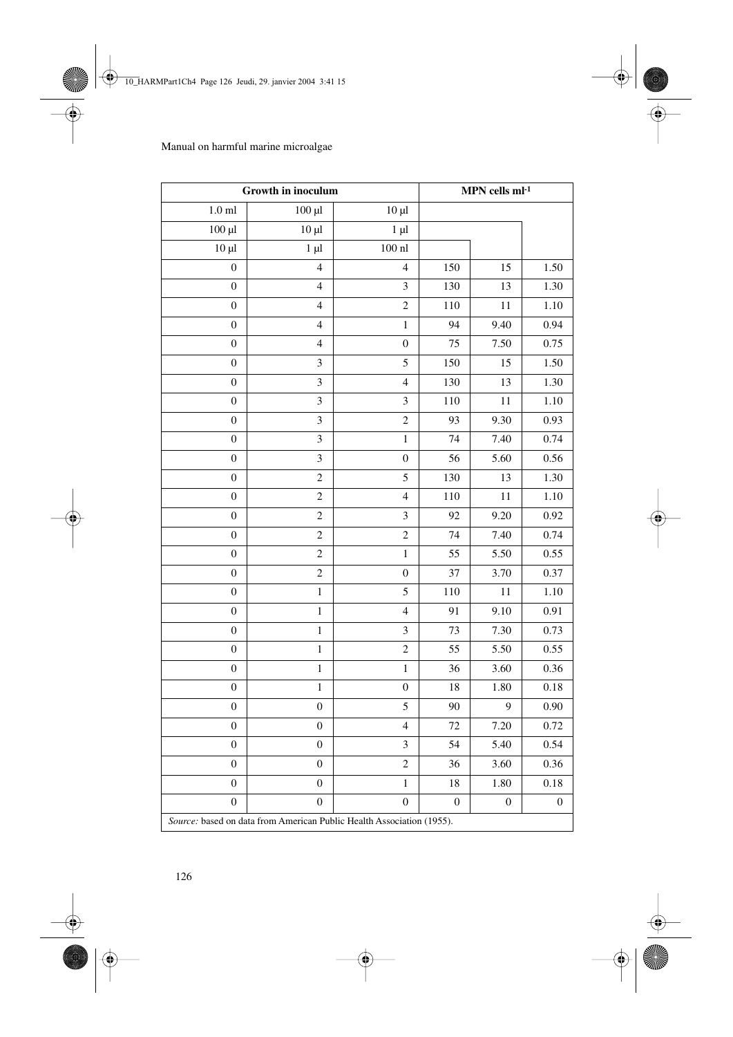| Growth in inoculum                                                    |                          | MPN cells $ml-1$         |                  |                  |                  |
|-----------------------------------------------------------------------|--------------------------|--------------------------|------------------|------------------|------------------|
| $1.0$ ml                                                              | $100 \mu l$              | $10 \mu$                 |                  |                  |                  |
| $100 \mu l$                                                           | $10 \mu$                 | $1 \mu l$                |                  |                  |                  |
| $10 \mu l$                                                            | $1 \mu l$                | $100$ nl                 |                  |                  |                  |
| $\boldsymbol{0}$                                                      | $\overline{4}$           | $\overline{\mathcal{L}}$ | 150              | 15               | 1.50             |
| $\boldsymbol{0}$                                                      | $\overline{\mathcal{L}}$ | $\mathfrak{Z}$           | 130              | 13               | 1.30             |
| $\boldsymbol{0}$                                                      | $\overline{4}$           | $\overline{c}$           | 110              | 11               | 1.10             |
| $\boldsymbol{0}$                                                      | $\overline{4}$           | $\,1$                    | 94               | 9.40             | 0.94             |
| $\boldsymbol{0}$                                                      | $\overline{4}$           | $\boldsymbol{0}$         | 75               | 7.50             | 0.75             |
| $\boldsymbol{0}$                                                      | $\mathfrak{Z}$           | 5                        | 150              | 15               | 1.50             |
| $\boldsymbol{0}$                                                      | $\mathfrak 3$            | $\overline{\mathcal{L}}$ | 130              | 13               | 1.30             |
| $\boldsymbol{0}$                                                      | $\mathfrak 3$            | $\mathfrak{Z}$           | 110              | 11               | 1.10             |
| $\boldsymbol{0}$                                                      | $\mathfrak{Z}$           | $\overline{c}$           | 93               | 9.30             | 0.93             |
| $\boldsymbol{0}$                                                      | $\mathfrak{Z}$           | $\,1$                    | 74               | 7.40             | 0.74             |
| $\boldsymbol{0}$                                                      | $\mathfrak 3$            | $\boldsymbol{0}$         | 56               | 5.60             | 0.56             |
| $\boldsymbol{0}$                                                      | $\sqrt{2}$               | 5                        | 130              | 13               | 1.30             |
| $\boldsymbol{0}$                                                      | $\sqrt{2}$               | $\overline{\mathcal{L}}$ | 110              | 11               | 1.10             |
| $\boldsymbol{0}$                                                      | $\sqrt{2}$               | $\mathfrak{Z}$           | 92               | 9.20             | 0.92             |
| $\boldsymbol{0}$                                                      | $\sqrt{2}$               | $\overline{c}$           | 74               | 7.40             | 0.74             |
| $\boldsymbol{0}$                                                      | $\sqrt{2}$               | $\,1$                    | 55               | 5.50             | 0.55             |
| $\boldsymbol{0}$                                                      | $\sqrt{2}$               | $\boldsymbol{0}$         | 37               | 3.70             | 0.37             |
| $\boldsymbol{0}$                                                      | $\,1$                    | 5                        | 110              | 11               | 1.10             |
| $\boldsymbol{0}$                                                      | $\,1$                    | $\overline{\mathcal{L}}$ | 91               | 9.10             | 0.91             |
| $\boldsymbol{0}$                                                      | $\,1\,$                  | $\mathfrak{Z}$           | 73               | 7.30             | 0.73             |
| $\boldsymbol{0}$                                                      | $\,1$                    | $\overline{c}$           | 55               | 5.50             | 0.55             |
| $\boldsymbol{0}$                                                      | $\,1$                    | $\,1$                    | 36               | 3.60             | 0.36             |
| $\boldsymbol{0}$                                                      | $\,1$                    | $\boldsymbol{0}$         | 18               | 1.80             | 0.18             |
| $\boldsymbol{0}$                                                      | $\boldsymbol{0}$         | 5                        | 90               | 9                | 0.90             |
| $\boldsymbol{0}$                                                      | $\boldsymbol{0}$         | $\overline{\mathcal{L}}$ | 72               | 7.20             | 0.72             |
| $\boldsymbol{0}$                                                      | $\boldsymbol{0}$         | 3                        | 54               | 5.40             | 0.54             |
| $\boldsymbol{0}$                                                      | $\boldsymbol{0}$         | $\overline{c}$           | 36               | 3.60             | 0.36             |
| $\boldsymbol{0}$                                                      | $\boldsymbol{0}$         | $\,1$                    | 18               | 1.80             | 0.18             |
| $\boldsymbol{0}$                                                      | $\boldsymbol{0}$         | $\boldsymbol{0}$         | $\boldsymbol{0}$ | $\boldsymbol{0}$ | $\boldsymbol{0}$ |
| Source: based on data from American Public Health Association (1955). |                          |                          |                  |                  |                  |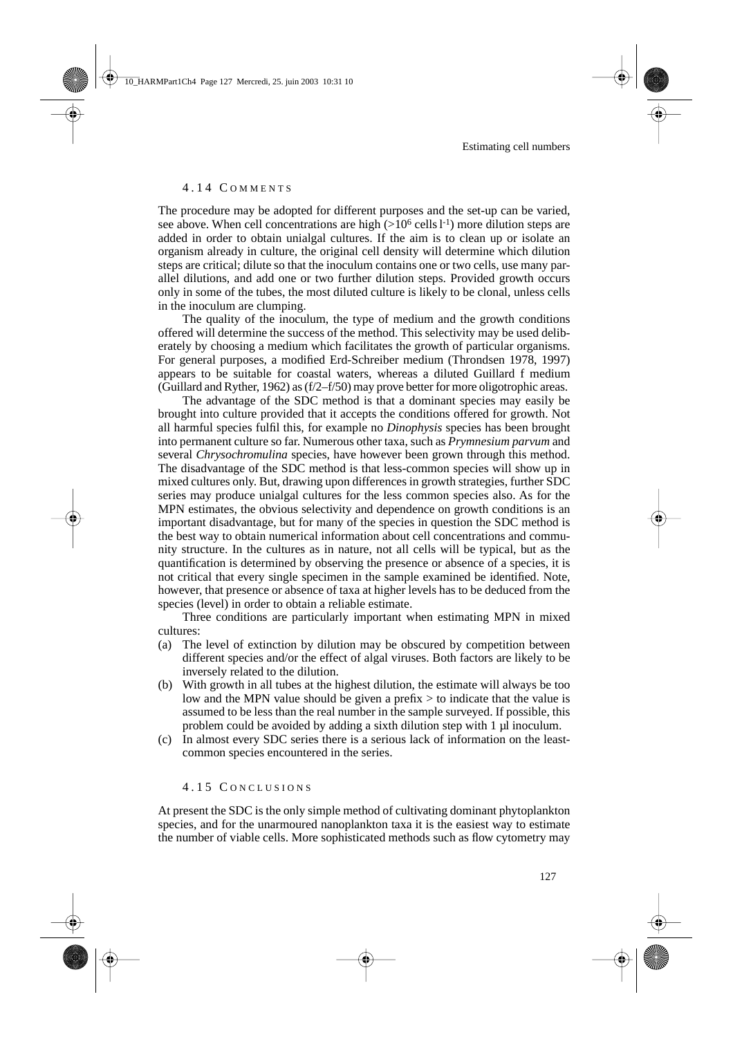#### 4.14 C OMMENTS

The procedure may be adopted for different purposes and the set-up can be varied, see above. When cell concentrations are high  $(>10^6 \text{ cells } l^{-1})$  more dilution steps are added in order to obtain unialgal cultures. If the aim is to clean up or isolate an organism already in culture, the original cell density will determine which dilution steps are critical; dilute so that the inoculum contains one or two cells, use many parallel dilutions, and add one or two further dilution steps. Provided growth occurs only in some of the tubes, the most diluted culture is likely to be clonal, unless cells in the inoculum are clumping.

The quality of the inoculum, the type of medium and the growth conditions offered will determine the success of the method. This selectivity may be used deliberately by choosing a medium which facilitates the growth of particular organisms. For general purposes, a modified Erd-Schreiber medium (Throndsen 1978, 1997) appears to be suitable for coastal waters, whereas a diluted Guillard f medium (Guillard and Ryther, 1962) as (f/2–f/50) may prove better for more oligotrophic areas.

The advantage of the SDC method is that a dominant species may easily be brought into culture provided that it accepts the conditions offered for growth. Not all harmful species fulfil this, for example no *Dinophysis* species has been brought into permanent culture so far. Numerous other taxa, such as *Prymnesium parvum* and several *Chrysochromulina* species, have however been grown through this method. The disadvantage of the SDC method is that less-common species will show up in mixed cultures only. But, drawing upon differences in growth strategies, further SDC series may produce unialgal cultures for the less common species also. As for the MPN estimates, the obvious selectivity and dependence on growth conditions is an important disadvantage, but for many of the species in question the SDC method is the best way to obtain numerical information about cell concentrations and community structure. In the cultures as in nature, not all cells will be typical, but as the quantification is determined by observing the presence or absence of a species, it is not critical that every single specimen in the sample examined be identified. Note, however, that presence or absence of taxa at higher levels has to be deduced from the species (level) in order to obtain a reliable estimate.

Three conditions are particularly important when estimating MPN in mixed cultures:

- (a) The level of extinction by dilution may be obscured by competition between different species and/or the effect of algal viruses. Both factors are likely to be inversely related to the dilution.
- (b) With growth in all tubes at the highest dilution, the estimate will always be too low and the MPN value should be given a prefix  $>$  to indicate that the value is assumed to be less than the real number in the sample surveyed. If possible, this problem could be avoided by adding a sixth dilution step with 1 µl inoculum.
- (c) In almost every SDC series there is a serious lack of information on the leastcommon species encountered in the series.

#### 4.15 C ONCLUSIONS

At present the SDC is the only simple method of cultivating dominant phytoplankton species, and for the unarmoured nanoplankton taxa it is the easiest way to estimate the number of viable cells. More sophisticated methods such as flow cytometry may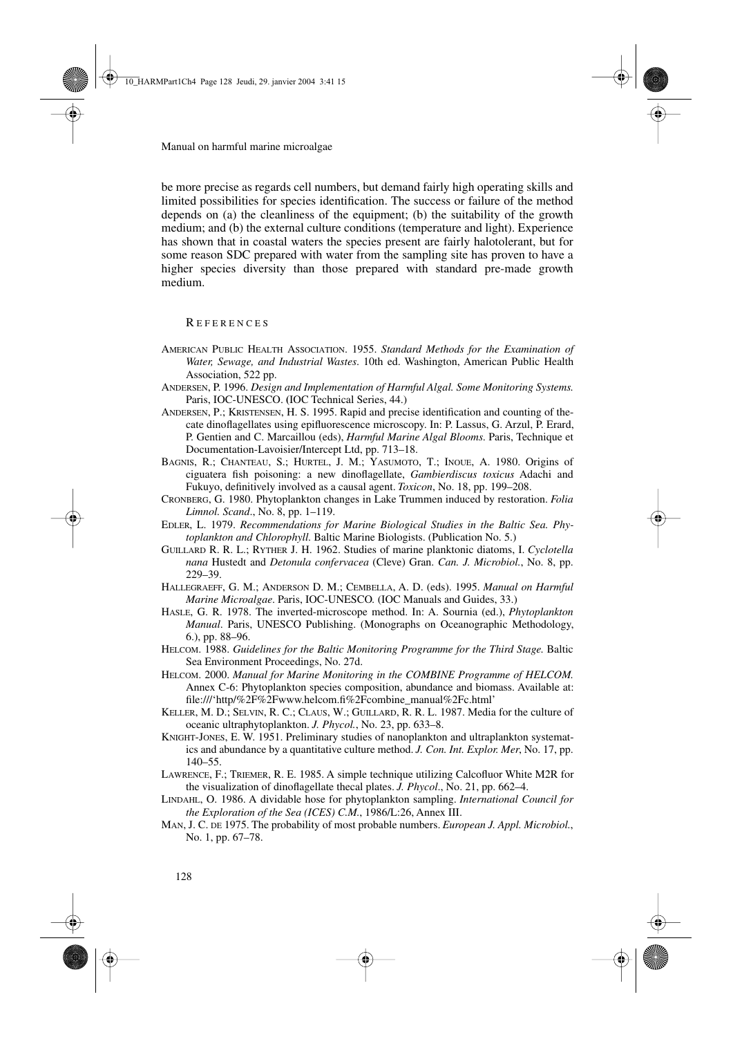be more precise as regards cell numbers, but demand fairly high operating skills and limited possibilities for species identification. The success or failure of the method depends on (a) the cleanliness of the equipment; (b) the suitability of the growth medium; and (b) the external culture conditions (temperature and light). Experience has shown that in coastal waters the species present are fairly halotolerant, but for some reason SDC prepared with water from the sampling site has proven to have a higher species diversity than those prepared with standard pre-made growth medium.

R EFERENCES

- AMERICAN PUBLIC HEALTH ASSOCIATION. 1955. *Standard Methods for the Examination of Water, Sewage, and Industrial Wastes*. 10th ed. Washington, American Public Health Association, 522 pp.
- ANDERSEN, P. 1996. *Design and Implementation of Harmful Algal. Some Monitoring Systems*. Paris, IOC-UNESCO. **(**IOC Technical Series, 44.)
- ANDERSEN, P.; KRISTENSEN, H. S. 1995. Rapid and precise identification and counting of thecate dinoflagellates using epifluorescence microscopy. In: P. Lassus, G. Arzul, P. Erard, P. Gentien and C. Marcaillou (eds), *Harmful Marine Algal Blooms*. Paris, Technique et Documentation-Lavoisier/Intercept Ltd, pp. 713–18.
- BAGNIS, R.; CHANTEAU, S.; HURTEL, J. M.; YASUMOTO, T.; INOUE, A. 1980. Origins of ciguatera fish poisoning: a new dinoflagellate, *Gambierdiscus toxicus* Adachi and Fukuyo, definitively involved as a causal agent. *Toxicon*, No. 18, pp. 199–208.
- CRONBERG, G. 1980. Phytoplankton changes in Lake Trummen induced by restoration. *Folia Limnol. Scand*., No. 8, pp. 1–119.
- EDLER, L. 1979. *Recommendations for Marine Biological Studies in the Baltic Sea. Phytoplankton and Chlorophyll*. Baltic Marine Biologists. (Publication No. 5.)
- GUILLARD R. R. L.; RYTHER J. H. 1962. Studies of marine planktonic diatoms, I. *Cyclotella nana* Hustedt and *Detonula confervacea* (Cleve) Gran. *Can. J. Microbiol.*, No. 8, pp. 229–39.
- HALLEGRAEFF, G. M.; ANDERSON D. M.; CEMBELLA, A. D. (eds). 1995. *Manual on Harmful Marine Microalgae*. Paris, IOC-UNESCO*.* (IOC Manuals and Guides, 33.)
- HASLE, G. R. 1978. The inverted-microscope method. In: A. Sournia (ed.), *Phytoplankton Manual*. Paris, UNESCO Publishing. (Monographs on Oceanographic Methodology, 6.), pp. 88–96.
- HELCOM. 1988. *Guidelines for the Baltic Monitoring Programme for the Third Stage*. Baltic Sea Environment Proceedings, No. 27d.
- HELCOM. 2000. *Manual for Marine Monitoring in the COMBINE Programme of HELCOM*. Annex C-6: Phytoplankton species composition, abundance and biomass. Available at: file:///'http/%2F%2Fwww.helcom.fi%2Fcombine\_manual%2Fc.html'
- KELLER, M. D.; SELVIN, R. C.; CLAUS, W.; GUILLARD, R. R. L. 1987. Media for the culture of oceanic ultraphytoplankton. *J. Phycol.*, No. 23, pp. 633–8.
- KNIGHT-JONES, E. W. 1951. Preliminary studies of nanoplankton and ultraplankton systematics and abundance by a quantitative culture method. *J. Con. Int. Explor. Mer*, No. 17, pp. 140–55.
- LAWRENCE, F.; TRIEMER, R. E. 1985. A simple technique utilizing Calcofluor White M2R for the visualization of dinoflagellate thecal plates. *J. Phycol*., No. 21, pp. 662–4.
- LINDAHL, O. 1986. A dividable hose for phytoplankton sampling. *International Council for the Exploration of the Sea (ICES) C.M.*, 1986/L:26, Annex III.
- MAN, J. C. DE 1975. The probability of most probable numbers. *European J. Appl. Microbiol.*, No. 1, pp. 67–78.